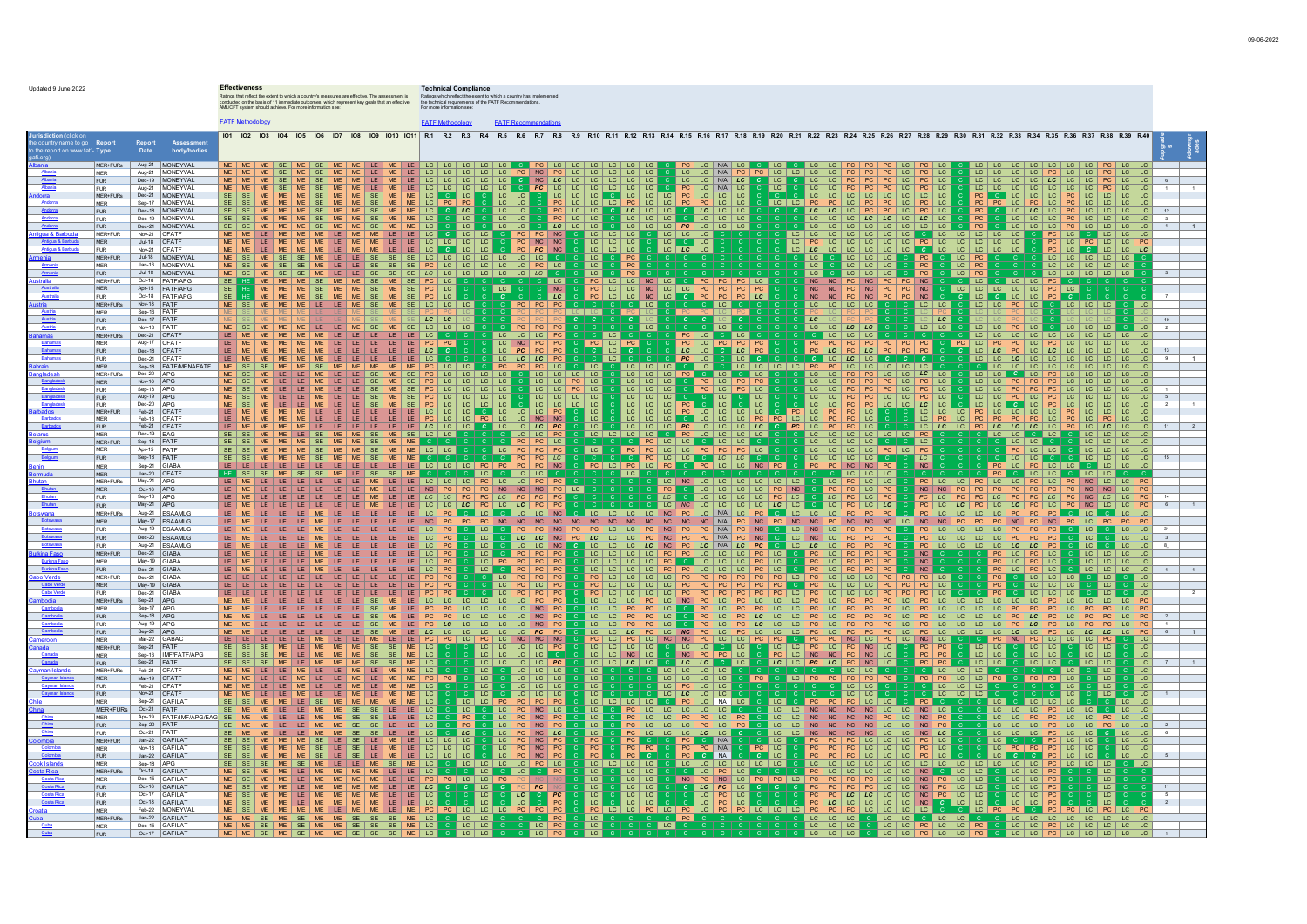|                                                            |                                    |                                      | <b>Effectiveness</b><br>Ratings that reflect the extent to which a country's measures are effective. The assessment is<br>conducted on the basis of 11 immediate outcomes, which represent key goals that an effective | <b>Technical Compliance</b><br>Ratings which reflect the extent to which a country has imple<br>the technical requirements of the FATF Recommendations.                                                                                                                                                                                                                                                                                                                                                                                                                                                                                                                                           |  |  |  |  |  |  |  |  |
|------------------------------------------------------------|------------------------------------|--------------------------------------|------------------------------------------------------------------------------------------------------------------------------------------------------------------------------------------------------------------------|---------------------------------------------------------------------------------------------------------------------------------------------------------------------------------------------------------------------------------------------------------------------------------------------------------------------------------------------------------------------------------------------------------------------------------------------------------------------------------------------------------------------------------------------------------------------------------------------------------------------------------------------------------------------------------------------------|--|--|--|--|--|--|--|--|
|                                                            |                                    |                                      | AML/CFT system should achieve. For more information see:                                                                                                                                                               | For more information see                                                                                                                                                                                                                                                                                                                                                                                                                                                                                                                                                                                                                                                                          |  |  |  |  |  |  |  |  |
|                                                            |                                    |                                      | <b>FATF Methodology</b>                                                                                                                                                                                                | <b>FATE Methodology</b><br><b>FATF Recommendations</b>                                                                                                                                                                                                                                                                                                                                                                                                                                                                                                                                                                                                                                            |  |  |  |  |  |  |  |  |
| e country name to go Report<br>the report on www.fatf-Type | Report<br>Date                     | Assessmen                            |                                                                                                                                                                                                                        | 101 102 103 104 105 106 107 108 109 1010 1011 R1 R2 R3 R4 R5 R6 R7 R8 R9 R10 R11 R12 R13 R14 R15 R16 R17 R18 R19 R20 R21 R22 R23 R24 R25 R26 R27 R28 R29 R30 R31 R32 R34 R34 R35 R36 R37 R38 R39 R40                                                                                                                                                                                                                                                                                                                                                                                                                                                                                              |  |  |  |  |  |  |  |  |
| MER+FURs                                                   | Aug-21 MONEYVAL                    | body/bodies                          | ME ME                                                                                                                                                                                                                  | PC LC N/A<br>LC   LC                                                                                                                                                                                                                                                                                                                                                                                                                                                                                                                                                                                                                                                                              |  |  |  |  |  |  |  |  |
| <b>MER</b><br>FUR                                          |                                    | Aug-21 MONEYVAL<br>Dec-19 MONEYVAL   |                                                                                                                                                                                                                        | PC LC LC<br>LC   LC   N/A<br>PC<br>PC LC LC<br><u>LC LC LC LC LC PC</u><br>LC LC LC LC LC C<br><b>NC</b><br>LC LC LC<br>LC<br>PC<br><b>PC</b> LC LC<br>LC<br>$LC$ $ $ $LC$<br>LC.<br>LC  <br>LC I<br>LC<br>NC LC<br>$\overline{LC}$<br>LC LC NA LC<br>LC LC LC LC<br>PC<br>$\overline{c}$                                                                                                                                                                                                                                                                                                                                                                                                         |  |  |  |  |  |  |  |  |
| <b>FUR</b><br>MER+FURs                                     |                                    | Aug-21 MONEYVAL<br>Dec-21 MONEYVAL   |                                                                                                                                                                                                                        | LC.<br>PC<br>LC<br>ILC LC C PC LC NA LC<br>ILC LC LC PC LC LC LC<br>IPC LC LC PC PC LC LC<br>LC<br>LC  <br>LC<br>LC<br>$rac{LC}{LC}$                                                                                                                                                                                                                                                                                                                                                                                                                                                                                                                                                              |  |  |  |  |  |  |  |  |
| <b>MFR</b>                                                 |                                    | Sep-17   MONEYVAL                    | ME                                                                                                                                                                                                                     | $rac{LC}{PC}$<br>LC LC LC C<br>PC LC LC LC<br>ME   LC  <br>PC<br>$LC$ $LC$<br>LC   PC   LC<br>PC  <br>LC.                                                                                                                                                                                                                                                                                                                                                                                                                                                                                                                                                                                         |  |  |  |  |  |  |  |  |
| FUR<br><b>FUR</b>                                          |                                    | Dec-18 MONEYVAL<br>Dec-19 MONEYVAL   | <b>ME</b><br><b>MF</b><br><b>MF</b>                                                                                                                                                                                    | LC<br>PC<br>  LC   LC<br>PC LC LC<br>LC<br>$LC$ LC<br>$ LC $ LC<br>I PC<br>LC<br>LC<br>LC C LC<br>LC C LC<br>LC PC LC<br>LC PC LC<br>LC<br>LC<br>LC<br>LC<br>PC.<br>LC.<br>LC<br>LC<br>LC.<br>$LC$ LC<br>LC LC<br>LC<br>$ $ LC<br>LC  <br>$LC$ $LC$ $LC$ $LC$<br>LC<br>  <sub>LC</sub>  <br>LC.<br>LC                                                                                                                                                                                                                                                                                                                                                                                             |  |  |  |  |  |  |  |  |
| FUR<br>MER+FUR<br>ia & Ri                                  | Nov-21 CFATF                       | Dec-21 MONEYVAL                      | <b>MF</b>                                                                                                                                                                                                              | LC<br>LC<br>$LC$ $  LC$ $  LC$<br>LC<br>LC<br>$\overline{c}$<br>LC<br>LE LC<br>C PC PC NC<br>LC LC LC<br>LC LC LC LC C LC LC LC LC LC<br> LC LC LC <br>PC<br>$LC$   LC                                                                                                                                                                                                                                                                                                                                                                                                                                                                                                                            |  |  |  |  |  |  |  |  |
| MER<br><b>FUR</b>                                          | Jul-18 CFATF<br>Nov-21 CFATF       |                                      |                                                                                                                                                                                                                        | LC<br>LC<br>LC<br>LC<br>$ $ LC<br>LC<br>LC<br>PC.<br>PC<br>N<br>  LC   LC  <br>LC   LC   LC<br>PC<br>LC<br>LC                                                                                                                                                                                                                                                                                                                                                                                                                                                                                                                                                                                     |  |  |  |  |  |  |  |  |
| MER+FUR<br><b>MER</b>                                      |                                    | Jul-18 MONEYVAL<br>Jan-16 MONEYVAL   |                                                                                                                                                                                                                        | <u>LC LC LC LC LC LC</u><br>LC LC LC LC LC PC<br>LC<br>LC LC LC<br>PC<br>LC   PC<br>LC LC LC LC LC<br>LC LC LC LC LC<br>PC<br>$ $ LC<br>LC<br>LC<br>PC<br>$ $ LC $ $<br>LC                                                                                                                                                                                                                                                                                                                                                                                                                                                                                                                        |  |  |  |  |  |  |  |  |
| FUR<br>MER+FUR                                             |                                    | Jul-18   MONEYVAL<br>Oct-18 FATF/APG |                                                                                                                                                                                                                        | C PC<br>PC<br>LC   LC   LC   LC<br>$-c$<br>LC<br>LC   LC   LC  <br> LC <br>LC   LC   LC   LC   LC  <br>SE   LC   LC<br>SE   PC   LC<br>$rac{LC}{NC}$<br> PC LC                                                                                                                                                                                                                                                                                                                                                                                                                                                                                                                                    |  |  |  |  |  |  |  |  |
| <b>MER</b><br>FUR                                          |                                    | Apr-15 FATF/APG<br>Oct-18 FATF/APG   | SE ME ME SE ME SE PC LC<br>SE ME ME SE ME SE PC LC<br>SE.<br><b>ME</b><br><b>ME</b><br>ME.<br>ME<br>SE<br><b>MF</b><br>ME                                                                                              | NC NC PC NC PC PC NC<br>NC NC PC NC PC PC NC<br>NC NC PC NC PC PC NC<br>PC LC LC NC LC C PC PC PC LC<br>PC LC LC NC LC LC PC PC PC PC<br>$ $ LC<br>$ $ LC<br>PC LC LC NC LC<br>PC PC LC<br>$ c $ PC $ $                                                                                                                                                                                                                                                                                                                                                                                                                                                                                           |  |  |  |  |  |  |  |  |
| MER+FURs<br>MER                                            | Nov-18 FATE<br>Sep-16 FATF         |                                      | ME<br><b>MF</b><br><b>SE</b>                                                                                                                                                                                           | SE   LC   LC   LC<br>C C LC<br>$LC$   $LC$<br>$PC$ $PC$<br>LC<br>$LC$ $  LC$<br>$LC$ $LC$<br>LC   LC   PC<br>LC<br>LC   LC   LC<br><b>LC</b>                                                                                                                                                                                                                                                                                                                                                                                                                                                                                                                                                      |  |  |  |  |  |  |  |  |
| <b>FUR</b>                                                 | Dec-17 FATF<br>Nov-18 FATE         |                                      | ME   SE   ME   SE   LC  <br>LE.                                                                                                                                                                                        | $LC$ $LC$<br><b>LC</b><br>PC<br>LC<br>$LC$ $LC$ $LC$<br>$LC$   $LC$<br>LC.<br>  <sub>LC</sub>   <sub>LC</sub>  <br>$\overline{1}$ C<br>LC                                                                                                                                                                                                                                                                                                                                                                                                                                                                                                                                                         |  |  |  |  |  |  |  |  |
| <b>FUR</b><br>MER+FURs<br>MER                              | Dec-21 CFATF                       |                                      | <b>MF</b><br>LE LE LE LE LC C<br><b>ME</b>                                                                                                                                                                             | LC LC LC PC<br>$ $ LC<br>PC LC C LC<br>C LC LC LC<br>LC.<br>LC LC LC<br>LC   LC   LC   LC   LC   LC<br>PC<br>PC<br>PC<br>LC.                                                                                                                                                                                                                                                                                                                                                                                                                                                                                                                                                                      |  |  |  |  |  |  |  |  |
| FUR                                                        | Aug-17 CFATF<br>Dec-18 CFATF       |                                      |                                                                                                                                                                                                                        | PC<br>NC PC PC<br>PC PC PC<br>PC<br>$PC$ LC<br>PC<br>PC<br>PC<br>LC<br>LC<br>$LC$ $PC$<br>LC<br>LC<br>LC<br>$LC$ $LC$<br>PC<br>LC<br>PC<br>PC<br>PC                                                                                                                                                                                                                                                                                                                                                                                                                                                                                                                                               |  |  |  |  |  |  |  |  |
| <b>FUR</b><br><b>MER</b>                                   | Dec-21 CFATF                       | Sep-18 FATF/MENAFATF                 | ME                                                                                                                                                                                                                     | LE LC<br> LC <br>C LC LC LC<br>LC<br>$PC$ LC<br>  LC<br>PC<br>PC<br>PC   LC   LC   LC   LC   LC<br>PC LC LC<br>PC<br>LC<br>LC<br>$LC$ $  LC$ $  LC$<br>PC.<br>LC.<br>LC                                                                                                                                                                                                                                                                                                                                                                                                                                                                                                                           |  |  |  |  |  |  |  |  |
| MER+FURs<br><b>MER</b>                                     | Dec-20 APG<br>Nov-16 APG           |                                      | <b>SE</b>                                                                                                                                                                                                              | PC   LC   LC   LC<br>EC LC<br>PC<br>$LC$   LC<br><b>CLCCCLC</b><br>PCLCPCPC<br>PCLCPCLC<br>$LC$ $LC$<br>LC<br>$ $ LC $ $<br>LC<br>LC<br>LC<br> LC LC <br>$PC$ LC<br>$PC$ LC<br>LC<br>LC<br>PC<br>LC<br>PC<br>LC.<br>LC                                                                                                                                                                                                                                                                                                                                                                                                                                                                            |  |  |  |  |  |  |  |  |
| <b>FUR</b><br>FUR                                          | Sep-18 APG<br>Aug-19 APG           |                                      | ME<br><b>ME</b><br>SE<br>ME<br><b>ME</b><br>LE SE                                                                                                                                                                      | PC PC LC<br> IC IC <br>PC<br>PC<br>LC<br>LC   LC   PC  <br>PC<br>PC<br>$LC$ $LC$<br>$LC$   $LC$  <br>l LC<br>LC.<br>LC<br>LC<br>LC.<br>PC   LC   LC   PC<br>PC<br>LC<br>$LC$ LC<br>  LC<br>$LC$ $LC$<br>LC<br>LC<br>LC<br>LC<br>LC<br>LC<br>LC                                                                                                                                                                                                                                                                                                                                                                                                                                                    |  |  |  |  |  |  |  |  |
| <b>FUR</b><br>MER+FUR                                      | Dec-20 APG<br>Feb-21 CFAT          |                                      | <b>ME</b><br><b>ME</b>                                                                                                                                                                                                 | EC PC<br>PC PC<br>PC PC<br>SE PC<br>SE PC<br>LE LC<br>$rac{PC}{PC}$<br>LC LC LC<br>LC<br>LC LC<br>LC PC<br>NC NC<br>LC<br>$rac{LC}{LC}$<br>LC<br><u>FC LC C LC PC</u><br>PC LC LC LC LC LC<br>PC PC PC PC LC<br>LC PC LC                                                                                                                                                                                                                                                                                                                                                                                                                                                                          |  |  |  |  |  |  |  |  |
| MER<br><b>FUR</b>                                          | Feb-18 CFATF<br>Feb-21 CFATF       |                                      |                                                                                                                                                                                                                        | LC<br>LC<br>$LC$ $LC$<br>LC<br>PC<br>$LC$ $PC$<br>LC   LC   PC   LC   LC   LC   LC   PC<br>LC<br>$\mathbf{c}$<br>LC  <br>$ $ LC $ $<br>LC<br>  LC<br>LC.<br>LC<br>LC.<br>PC<br>PC                                                                                                                                                                                                                                                                                                                                                                                                                                                                                                                 |  |  |  |  |  |  |  |  |
| MER<br>MER+FUR                                             | Dec-19 EAG<br>Sep-18 FATF          |                                      | ME I                                                                                                                                                                                                                   | $LC$ $  LC$ $  PC$<br>PC<br>  LC   LC<br>LC CC CC LC<br>LC   LC   LC  <br>LC<br><b>IC   IC   IC   IC</b><br> LC LC <br> IC IC <br>$LC$ $  LC$ $  LC$<br>LC.<br>$PC$ LC<br>LC LC LC LC C C LC<br>LC.<br>LC LC<br>PC                                                                                                                                                                                                                                                                                                                                                                                                                                                                                |  |  |  |  |  |  |  |  |
| MER<br>FUR                                                 | Apr-15 FATF<br>Sep-18 FATF         |                                      | <b>ME</b><br>ME  <br><b>ME</b><br>SE<br><b>MF</b><br><b>MF</b>                                                                                                                                                         | THE REAL PROPERTY OF REAL PROPERTY OF REAL PROPERTY OF REAL PROPERTY OF REAL PROPERTY OF REAL PROPERTY OF REAL PROPERTY OF REAL PROPERTY OF REAL PROPERTY OF REAL PROPERTY OF REAL PROPERTY OF REAL PROPERTY OF REAL PROPERTY<br>PC<br>PC<br>$ $ LC<br>LC LC LC LC PC LC PC<br>LC LC LC LC C C LC<br>PC LC LC<br>$ME$ $LC$ $LC$<br>  LC<br>LC<br>$LC$ $  LC$ $  LC$<br>$PC$ $LC$<br>LC<br>LC LC C<br>LC   LC   LC   LC                                                                                                                                                                                                                                                                            |  |  |  |  |  |  |  |  |
| <b>MER</b><br>MER                                          | Sep-21 GIABA<br>Jan-20 CFATF       |                                      |                                                                                                                                                                                                                        | PC LC PC LC PC<br>PC LC PC LC LC<br>LC   PC   PC<br>PC<br>NC<br>PC LC LC NC PC<br>PC PC NC NC PC<br>NC<br>C LC LC LC<br>L <sub>C</sub><br>LC LC LC<br>LC LC<br>LC<br>LC.<br>PC<br>LC<br>LC                                                                                                                                                                                                                                                                                                                                                                                                                                                                                                        |  |  |  |  |  |  |  |  |
| MER+FURs                                                   | May-21 APG<br>Oct-16 APG           |                                      |                                                                                                                                                                                                                        | PC LC LC PC PC<br>LC   NC   LC   LC   LC   LC   LC<br>$ $ LC<br>PC<br>$LC$ $LC$<br>PC   LC   LC   PC<br>$LC$ $LC$<br>PC LC PC<br>NC<br>$LC$ $LC$ $PC$<br>LC   LC   LC   LC   PC  <br>NC<br>$LC$ $PC$<br>NC<br>PC<br>NC                                                                                                                                                                                                                                                                                                                                                                                                                                                                            |  |  |  |  |  |  |  |  |
| MER<br><b>FUR</b>                                          | Sep-18 APG                         |                                      |                                                                                                                                                                                                                        | PC<br>$LC$ $PC$<br>PC<br>LC<br>PC<br>PC<br>LC<br>LC.<br>LC.<br>LC<br>LC<br>PC                                                                                                                                                                                                                                                                                                                                                                                                                                                                                                                                                                                                                     |  |  |  |  |  |  |  |  |
| <b>FUR</b><br>MER+FURs                                     | May-21 APG                         | Aug-21 FSAAMLG                       | <b>ME</b><br>LE.<br><b>ME</b><br><b>IE</b><br><b>IE</b><br>ME<br>LE.<br>LE<br>LE.                                                                                                                                      | LC PC LC LC<br>LC PC PC PC<br>PC C LC<br>PC C LC<br>NC PC NC<br>$PC$ LC<br>$ _{LC} $<br>PC<br>$LC$ PC<br>  <sub>LC</sub>  <br>NC<br>$LC$ $  LC$ $  LC$<br><b>NC</b><br>$LE$ $IC$ $IC$<br>LC<br>  LC<br>LC.<br>LC PC LC LC PC PC<br>LC LC LC LC PC PC<br>LC LC LC LC PC PC PC<br>LC LC LC LC PC PC PC<br>$LC$ $PC$<br>LC.<br>PC<br>$\frac{\text{NC}}{\text{NC}}$<br>LC<br>$\overline{c}$ LC<br>$\overline{c}$<br>LC<br>N/A<br>PC<br>PC C<br>LC.<br>PC<br>LC<br>$NC$<br>LC<br>LC<br>LC<br>LC.<br>LC.<br>LC<br>LC.<br>$\overline{c}$ LC<br>LC LC                                                                                                                                                     |  |  |  |  |  |  |  |  |
| <b>MER</b><br><b>FUR</b>                                   |                                    | May-17 ESAAMLG<br>Aug-19 ESAAMLG     | ME<br>LE<br>LE.<br><b>ME</b><br>LE.<br><b>IF</b><br>LE<br>$\frac{\text{ME}}{\text{ME}}$<br>LE<br>LE.<br>ME<br>ME<br>LE.<br>LE.<br>LE                                                                                   | NC N/A<br>NC<br>NC<br>PC<br>PC<br>PC<br>NC<br>NC<br>NC<br>$\frac{NC}{NC}$<br>NC<br>NC<br>NC<br>NC<br>NC<br>NC<br>PC<br>NC<br>PC<br>NC<br>NC NC LC<br>LC PC<br>PC<br>$PC$<br>N <sub>C</sub><br>LC<br>$rac{PC}{LC}$<br>$\frac{NC}{NC}$<br>LC<br>$\frac{PC}{PC}$<br>LC.<br>$\frac{\text{PC}}{\text{LC}}$<br>$rac{PC}{PC}$<br>$rac{PC}{LC}$<br>$_{\rm LC}$<br>LC<br>$rac{PC}{PC}$<br>$\frac{PC}{PC}$<br>N/A<br>$rac{PC}{PC}$<br>$NC$ $C$<br>NC<br>LC.<br>$rac{PC}{PC}$<br>$PC$ PC<br>LC<br>LC.<br>LC.<br>LC<br>$\frac{c}{c}$<br>31<br>$\mathbf{C}$                                                                                                                                                    |  |  |  |  |  |  |  |  |
| <b>FUR</b><br><b>FUR</b>                                   |                                    | Dec-20 ESAAMLG<br>Aug-21 ESAAMLG     | LE<br><b>ME</b><br><b>IF</b><br>LE.<br>LE                                                                                                                                                                              | $\frac{PC}{PC}$<br>PC<br>PC<br>PC<br>PC<br>PC PC<br>PC PC<br>PC PC<br>PC PC<br>NC<br>LC.<br>LC<br>LC.<br>N/A<br>NC<br>$\overline{c}$<br>LC<br>LC<br>$\overline{c}$<br>LC<br>LC.<br>LC.<br>PC<br>LC<br>NC<br>PC<br>LC.<br>LC<br>LC<br>PC<br>LC<br>LC<br>NC<br>LC<br><b>LC</b><br>LC<br>LC N/A LC<br>$PC$ $C$<br>LC<br>LC<br>LC<br>LC.<br>LC.<br>LC<br>LC<br>LC<br>LC.<br>$\overline{C}$                                                                                                                                                                                                                                                                                                            |  |  |  |  |  |  |  |  |
| rkina Faso<br>MER+FUR<br><b>MER</b><br>Burkina Far         | Dec-21 GIARA<br>May-19 GIARA       |                                      | LE.<br>LE<br><b>ME</b><br>LE.<br>LE.<br>ME<br><b>IF</b><br>IE.<br>MF<br>LE.<br>LE<br>LE.                                                                                                                               | LC LC PC<br>LC LC LC PC LC<br>$\frac{NC}{NC}$<br>PC<br>  <sub>LC</sub>  <br>PC<br>PC<br>LC PC LC<br>$  \text{IC}  $<br>PC<br>LC<br>LC.<br>PC<br>$ $ LC<br>PC<br>LC LC LC LC<br>PC<br>PC<br>$PC$ LC<br>  <sub>LC</sub>  <br><b>PC</b><br>$LC$ PC<br>PC.<br>PC<br>PC<br>PC<br>PC  <br>LC<br>LC<br>PC<br>PC<br>LC LC LC LC<br>LC<br>LC.<br>LC<br>LC                                                                                                                                                                                                                                                                                                                                                  |  |  |  |  |  |  |  |  |
| FUR.<br>MER+FUR<br>po Verde                                | Dec-21 GIABA<br>Dec-21 GIABA       |                                      | LE<br>LE.                                                                                                                                                                                                              | <sub>LC</sub>  <br><b>PC</b><br>LC<br>PC<br><b>PC</b><br>PC<br>PC<br>PC<br>NC<br>PC.<br>LC<br>PC<br>LC<br>$ _{LC} $<br>LC<br>$LC$ LC<br>  <sub>LC</sub>  <br>LC<br>LC<br>LC.<br>PC<br>PC<br>$ $ LC $ $<br>PC<br>PC<br>PC<br>PC<br>PC<br>PC<br>PC<br>PC PC LC<br>PC.<br>PC.<br> LC <br>PC<br>$LC$ $LC$<br>$\overline{\phantom{a}}$ LC<br>L <sub>LC</sub>                                                                                                                                                                                                                                                                                                                                           |  |  |  |  |  |  |  |  |
| <b>MER</b><br>FUR                                          | May-19 GIABA<br>Dec-21 GIABA       |                                      |                                                                                                                                                                                                                        | LC<br>$-c$                                                                                                                                                                                                                                                                                                                                                                                                                                                                                                                                                                                                                                                                                        |  |  |  |  |  |  |  |  |
| MER+FURs                                                   | Sep-21 APG                         |                                      | ME<br>$\frac{\text{ME}}{\text{ME}}$<br>ME<br>ME<br>LE<br>LE<br>LE<br>SE<br>LE<br><b>IF</b>                                                                                                                             | LC<br>$rac{LC}{LC}$<br>$rac{LC}{PC}$<br>$\frac{\text{PC}}{\text{PC}}$<br>LC<br>LC<br>LC<br>LC.<br>LC<br>$rac{LC}{PC}$<br>$rac{LC}{LC}$<br>$rac{LC}{LC}$<br>LC.<br>$rac{LC}{PC}$<br>LC<br>LC<br>$rac{LC}{LC}$<br>NC<br>LC<br>LC<br>LC.                                                                                                                                                                                                                                                                                                                                                                                                                                                             |  |  |  |  |  |  |  |  |
| <b>MER</b><br>Camboda<br><b>FUR</b>                        | Sep-17 APG<br>Sep-18 APG           |                                      | LE<br>LE.<br>ME<br>LE<br>ME<br>LE.<br><b>IF</b><br>LE<br>LE<br>LE.<br>SE<br><b>IF</b><br>ME<br>LE<br><b>SE</b><br>LE<br>LE<br>LE                                                                                       | $rac{LC}{PC}$<br>$rac{PC}{PC}$<br><b>EC</b><br>PC<br>PC<br><b>CC</b><br>$rac{LC}{PC}$<br>$\frac{LC}{LC}$<br>$\frac{\text{LC}}{\text{PC}}$<br>PC<br>PC<br>PC<br>PC<br>PC<br>PC<br>PC<br>PC<br>PC<br>PC<br>PC<br>PC<br>PC<br>PC<br>PC<br>PC<br>PC<br>PC<br>PC<br>PC<br>PC<br>PC<br>PC<br>PC<br>PC<br>PC<br>PC<br>PC<br>PC<br>PC<br>PC<br>PC<br>PC<br>PC<br>$PC$ PC<br>LC<br>PC<br>PC<br>PC<br>$\mathsf{LC}$<br>$\overline{c}$<br>$rac{PC}{PC}$<br>$rac{LC}{LC}$<br>$rac{LC}{LC}$<br>$rac{LC}{LC}$<br>$rac{LC}{LC}$<br>$rac{LC}{LC}$<br>LC<br>LC<br>LC<br>LC<br>LC<br>NC<br>LC.<br>LC<br>LC<br>LC<br>LC<br>LC<br>LC<br>LC<br>PC<br>PC<br>$\overline{\mathsf{c}}$<br>LC<br>LC<br>LC<br>$\overline{1}$ |  |  |  |  |  |  |  |  |
| <b>FUR</b><br><b>FUR</b>                                   | Aug-19 APG<br>Sep-21 APG           |                                      | ME<br>ME<br>ME<br>LE.                                                                                                                                                                                                  | LC<br>$PC$ $PC$<br>LC<br>PC<br>$\mathsf{LC}$<br>LC<br>LC<br>LC<br>$rac{PC}{LC}$<br>$\frac{NC}{PC}$<br>LC<br>LC<br>LC<br>LC<br>LC<br>LC.<br>LC<br>LC<br>LC  <br>LC<br>$PC$ $PC$<br>$\overline{c}$<br>$\frac{NC}{NC}$<br>LC<br>LC<br>LC.<br>LC<br><b>LC</b><br>PC<br>LC<br>LC<br>LC<br>LC<br>LC<br>LC<br>LC<br>LC<br>LC<br>LC<br>LC<br>LC<br>LC.<br>6                                                                                                                                                                                                                                                                                                                                               |  |  |  |  |  |  |  |  |
| MER<br>MER+FUR                                             | Mar-22 GABA<br>Sep-21 FATF         |                                      |                                                                                                                                                                                                                        | NC<br>$\overline{\phantom{a}}$ LC<br>$PC$ LC<br> LC <br> LC <br>PC   LC   LC  <br>$\overline{P}$<br>NC<br>$\overline{LC}$<br>NC LC<br>NC<br>LC<br>PC<br>$LC$ $PC$<br><b>LC</b><br>LC<br>NC<br>$ME$ LC<br>LC   LC   PC<br>LC   LC   LC   LC  <br>LC LC C LC<br>PC<br>PC<br>$ _{LC} $<br>LC<br>$LC$ $LC$<br>LC<br>LC.                                                                                                                                                                                                                                                                                                                                                                               |  |  |  |  |  |  |  |  |
| <b>MER</b><br>Canada<br><b>FUR</b>                         | Sep-21 FATF                        | Sep-16 IMF/FATF/APG                  | <b>MF</b><br>SE                                                                                                                                                                                                        | LC LC PC LC PC<br>PC LC NC NC PC<br>LC LC PC LC PC<br>NC LC<br>NC LC<br>NC LC<br>$rac{c}{c}$<br>LC<br>LC<br>LC LC NC LC<br>LC LC LC LC<br>NC<br>PC.<br>LC<br>PC<br>PC<br>  <sub>LC</sub>  <br>LC<br>LC<br>LC<br>LC<br>LC<br>LC.<br><b>LC</b><br>LC LC LC LC PC<br>$ME$ LC<br>LC LC C<br>$LC$ LC<br>$ $ LC<br>LC<br>PC<br>PC<br>$LC$ $LC$<br><b>LC</b><br>LC<br>LC                                                                                                                                                                                                                                                                                                                                 |  |  |  |  |  |  |  |  |
| MER+FURs<br>MER                                            | Feb-21 CFATF<br>Mar-19 CFATF       |                                      | <b>ME</b>                                                                                                                                                                                                              | $LC$ LC<br>LC   LC   LC   LC<br>LC LC LC<br>LC<br>LC<br>$ $ LC $ $<br>LC<br>LC<br>LC<br>LC <sub>1</sub><br>PC<br>LC<br>LC<br>$LC$ $LC$<br>LC<br> LC <br> LC <br>LC.<br>LC<br>LC PC PC<br>PC.<br>PC<br> PC <br>PC<br>LC   LC   PC  <br>$PC$ $PC$ $LC$<br>LC<br>PC<br> PC <br><b>PC</b><br>LC                                                                                                                                                                                                                                                                                                                                                                                                       |  |  |  |  |  |  |  |  |
| <b>FUR</b><br>FUR                                          | Feb-21<br>Nov-21 CFATF             | CFATF                                |                                                                                                                                                                                                                        | LC<br>$LC$ LC<br>LC<br> LC <br>PC<br>$LC$ $LC$<br>LC<br>LC.<br>LC I<br>$LC$   $LC$<br>LC<br>LC<br>LC<br>LC LC<br>$LC$ $LC$<br>LC<br>LC<br>LC<br>$LC$ $LC$<br>LC<br> LC <br>LC<br>LC  <br>l LC                                                                                                                                                                                                                                                                                                                                                                                                                                                                                                     |  |  |  |  |  |  |  |  |
| <b>MER</b><br>MER+FUR                                      | Sep-21 GAFILAT<br>Oct-21 FATF      |                                      | LE <sup>1</sup><br><b>SE</b><br>LE<br><b>SF</b><br><b>ME</b>                                                                                                                                                           | LC<br>LC<br>PC<br>PC<br>LC<br>PC   LC   NA   LC<br>LC<br>PC<br>LC<br>LC<br>$LC$ $LC$<br>$\overline{LC}$<br>PC<br>LC   LC   LC<br>LC<br>$LC$   $LC$<br>C LC<br>LC<br>$ $ LC $ $<br>$\overline{c}$<br>NC<br>LC<br>LC<br>LC LC<br>NC<br>LC<br>LC                                                                                                                                                                                                                                                                                                                                                                                                                                                     |  |  |  |  |  |  |  |  |
| <b>MER</b><br>FUR                                          | Sep-20 FATF                        | Apr-19   FATF/IMF/APG/EAG            | <b>ME</b><br><b>ME</b><br>LE<br>LE.<br><b>SE</b><br><b>SE</b><br>LE<br>ME<br><b>SE</b><br><b>IF</b><br>LE.                                                                                                             | $\frac{PC}{PC}$<br>LC<br>LC<br>LC<br>LC<br>PC<br>LC<br>$\frac{NC}{NC}$<br>PC<br>PC<br>PC<br>PC<br>$\frac{\text{NC}}{\text{NC}}$<br>$\frac{1}{10}$<br>LC<br>$\frac{\text{NC}}{\text{NC}}$<br>LC<br>PC<br>LC<br>LC<br>PC<br>PC<br>LC<br>PC<br>LC<br>PC LC<br>PC LC<br>PC LC<br>PC LC<br>$\frac{NC}{NC}$<br>$rac{LC}{LC}$<br>$rac{LC}{LC}$<br>LC LC<br>$rac{LC}{LC}$<br>LC<br>$rac{LC}{LC}$<br>PC<br>PC<br>LC<br>LC<br>NC<br>NC<br>LC<br>$rac{LC}{LC}$<br>PC<br>PC<br>LC<br>$PC$ $PC$<br>PC<br>LC  <br>PC<br>$\mathbf{C}$<br>$rac{c}{c}$<br>PC<br>NC<br>LC<br>NC<br>NC<br>LC<br>PC<br>LC<br>$\mathsf{L}\mathsf{C}$<br>LC<br>LC<br>LC.<br>LC.<br>LC                                                   |  |  |  |  |  |  |  |  |
| <b>FUR</b><br>MER+FUR                                      | Oct-21 FATF<br>Jan-22 GAFII AT     |                                      | <b>ME</b>                                                                                                                                                                                                              | $\frac{NC}{NC}$<br>LC<br>LC<br>LC<br>LC<br>LC.<br>LC<br>LC.<br>LC<br><b>NC</b><br>NC<br>LC<br>LC<br>LC<br>LC<br>LC<br><b>PC</b><br><b>NC</b><br><b>PC</b><br>PC<br>PC.<br>PC<br>N/A<br>LC<br>LC<br>LC<br>LC<br>$LC$ $LC$<br>LC I<br>LC                                                                                                                                                                                                                                                                                                                                                                                                                                                            |  |  |  |  |  |  |  |  |
| <b>MER</b>                                                 | Nov-18 GAFILAT                     |                                      | MF                                                                                                                                                                                                                     | LE LC<br>PC<br>PC PC N/A<br>LC PC PC PC<br>NC<br>PC<br>PC<br>PC<br>LC<br>LE LC<br>LC<br>LC<br>LC<br>PC<br>PC.<br>$PC$ LC<br>LC.<br>$\overline{1}$ C<br>LC   LC<br>PC<br>PC                                                                                                                                                                                                                                                                                                                                                                                                                                                                                                                        |  |  |  |  |  |  |  |  |
| FUR<br><b>MER</b>                                          | Sen-18 $APG$                       | Jan-22 GAFILAT                       | <b>ME</b>                                                                                                                                                                                                              | PC<br>PC C<br>NA<br>$c$ LC<br>LC.<br>LC<br>PC<br>NC<br>LC<br>$C$ $PC$<br>LC<br>$LC$ $ $ $LC$<br>LC CC CC<br>LC.<br>PC<br>LC<br>$ LC $ $ LC $<br>$LC$ $LC$<br><u>LC LC LC LC LC LC</u><br>C LC PC LC C C<br>LC                                                                                                                                                                                                                                                                                                                                                                                                                                                                                     |  |  |  |  |  |  |  |  |
| MER+FURs<br><b>MER</b>                                     | Oct-18 GAFILAT                     | Dec-15 GAFILAT                       |                                                                                                                                                                                                                        | C PC<br>LC<br>$LC$ $LC$<br>LC   LC   PC<br>LE LC<br>LC<br>$ $ LC $ $ LC<br>LC<br>LE   PC   PC   LC   LC   PC  <br>LC LC<br>NC PC<br>NC   LC   PC   PC   LC<br>LC   LC<br>LC<br>LC   LC   PC<br>LC                                                                                                                                                                                                                                                                                                                                                                                                                                                                                                 |  |  |  |  |  |  |  |  |
| <b>FUR</b><br>FUR.                                         | Oct-17 GAFILAT                     | Oct-16 GAFILAT                       |                                                                                                                                                                                                                        | LE   LC<br>LC<br>LC<br>LC<br>PC<br>LC<br>$LC$ LC<br>$LC$ $LC$<br>$\overline{c}$<br>$LC$ LC<br>$PC$ LC<br>PC LC LC<br>LC LC<br>LC<br>LC<br>P <sub>c</sub><br>LC<br>LC                                                                                                                                                                                                                                                                                                                                                                                                                                                                                                                              |  |  |  |  |  |  |  |  |
| FUR.<br><b>MER</b>                                         |                                    | Oct-18 GAFILAT<br>Feb-22 MONEYVAL    |                                                                                                                                                                                                                        | LC<br>LC LC<br>LC I<br>PC<br>l LC<br>NC.<br>LC LC<br>LC<br>LC.<br>LC<br>PC LC LC LC PC PC<br>PC   LC   PC<br>PC LC LC LC LC<br>$LC$ $LC$<br>PC LC LC LC<br>LC PC PC<br>PC<br>l LC I<br>PC LC PC LC PC<br>ME PC<br>PC<br>PC I<br>$\overline{P}$ PC                                                                                                                                                                                                                                                                                                                                                                                                                                                 |  |  |  |  |  |  |  |  |
| MER+FURs<br><b>MFR</b>                                     | Jan-22 GAFII AT<br>Dec-15 GAFII AT |                                      | <b>ME</b>                                                                                                                                                                                                              | LC<br>LC<br>LC LC LC<br>LC<br>LC.<br>LC.<br>LC<br>LC.<br>LC.<br>LC LC LC<br>$\Box$ $\Box$<br>LC<br>PC<br>LC.<br>$  \mathsf{IC}   \mathsf{IC}  $<br>LC.                                                                                                                                                                                                                                                                                                                                                                                                                                                                                                                                            |  |  |  |  |  |  |  |  |
| FUR                                                        | Oct-17 GAFILAT                     |                                      | ME   ME   SE   ME   SE  <br>ME<br>ME I<br>SE   SE   SE  <br><b>ME</b>                                                                                                                                                  | $\frac{LC}{LC}$<br>LC PC<br>LC<br>LC<br>PC.<br>LC LC PC LC<br>$ $ LC $ $<br>LC<br>PC<br>LC.<br>LC<br>I LC I<br>LC  <br>$\overline{1}$ C $\overline{1}$<br>LC  <br>$LC$ $  LC$ $  LC$<br>$\overline{c}$                                                                                                                                                                                                                                                                                                                                                                                                                                                                                            |  |  |  |  |  |  |  |  |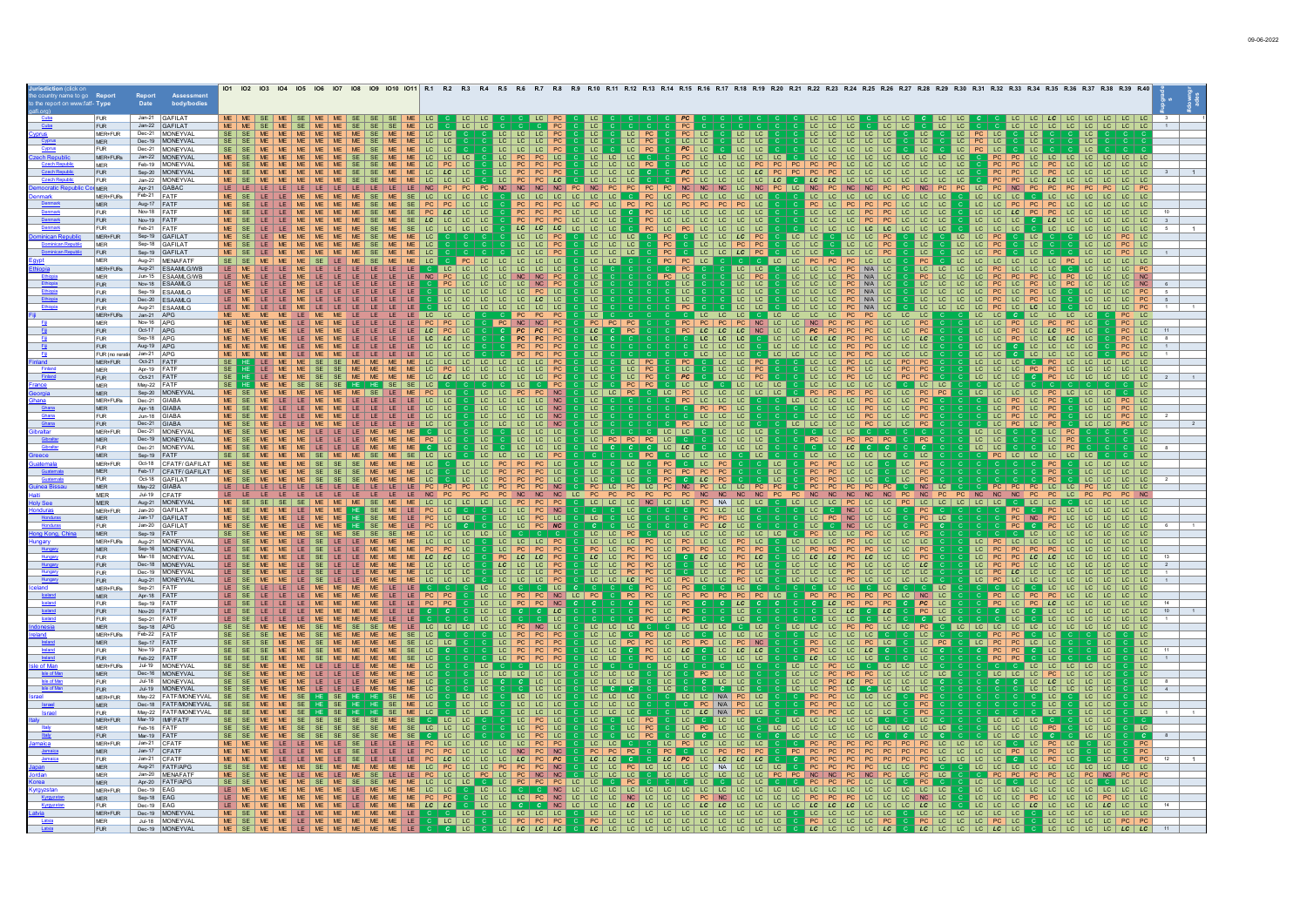|                  |                           |                                            | $101$ $102$                                                                                                                                                                                                                                    |  |
|------------------|---------------------------|--------------------------------------------|------------------------------------------------------------------------------------------------------------------------------------------------------------------------------------------------------------------------------------------------|--|
|                  |                           | Assessmer<br>body/bodies<br>Date           |                                                                                                                                                                                                                                                |  |
|                  |                           |                                            |                                                                                                                                                                                                                                                |  |
|                  | <b>FUR</b>                | Jan-21 GAFILAT                             | LC LC LC                                                                                                                                                                                                                                       |  |
|                  | <b>FUR</b>                | Jan-22 GAFILAT                             |                                                                                                                                                                                                                                                |  |
|                  | MER+FUR                   | Dec-21 MONEYVAL<br>Dec-19 MONEYVAL         | $LC$ $LC$<br>$LC$ $ $ $LC$<br>LC<br>PC<br>LC<br>LC  <br>PC.<br>LC.<br>LC<br>LC                                                                                                                                                                 |  |
|                  | MER<br><b>FUR</b>         | Dec-21 MONEYVAL                            | <sub>LC</sub>  <br>LC<br>$SF$ $SF$<br>LC LC LC PC<br>LC<br>$LC$ $PC$<br>PC<br>LC<br>LC.                                                                                                                                                        |  |
|                  | MER+FURs                  | Jan-22   MONEYVAL                          | LC LC LC PC<br>$PC$ LC                                                                                                                                                                                                                         |  |
|                  | MER                       | Feb-19 MONEYVAL                            | LC.<br>PC.<br>LC.                                                                                                                                                                                                                              |  |
|                  | <b>FUR</b>                | Sep-20   MONEYVAL                          | $LC$ $LC$ $\vert$                                                                                                                                                                                                                              |  |
|                  | <b>FUR</b>                | Jan-22 MONEYVAL                            | LC   LC   LC                                                                                                                                                                                                                                   |  |
|                  | <b>MFR</b>                | Apr-21 GABAC<br>Feb-21 FATF                | LC.<br>PC.<br>$\overline{1}$ C<br> C                                                                                                                                                                                                           |  |
|                  | MER+FURs<br>MER           | Aug-17 FATF                                | $\overline{1}$ C $\overline{1}$<br>LC  <br>LC PC<br><b>PC</b><br>$\overline{1}$ C                                                                                                                                                              |  |
|                  | <b>FUR</b>                | Nov-18 FATF                                | LC LC<br>LC.                                                                                                                                                                                                                                   |  |
|                  | FUR.                      | Nov-19 FATF                                | LC LC LC<br>LC   LC   LC<br>$LC$ $LC$<br>LC LC LC<br>$\lfloor c \rfloor$ $\lfloor c \rfloor$                                                                                                                                                   |  |
|                  | <b>FUR</b>                | Feb-21 FATE                                | LC<br>$LC$ $LC$<br>$10 - 10 - 10$<br>LC   LC<br>$\lfloor 1 \cdot C \rfloor$ $\lfloor 1 \cdot C \rfloor$<br>$\overline{1}$ C<br>LC LC LC<br>$\overline{1}$ C<br>$\overline{1}$ C<br>LC LC LC<br>$\overline{1}$ C<br>$\Box$ $\Box$               |  |
|                  | MFR+FLIR                  | Sep-19 GAFILAT                             | $\overline{1}$ C<br>$ LC $ $ LC $ $ LC $<br>$LC$ $PC$<br>$LC$ $LC$<br>I LC I LC I<br>LC LC PC<br>$ $ LC<br>ILC ILC                                                                                                                             |  |
|                  | <b>MER</b>                | Sep-18 GAFILAT                             | LC LC LC<br>PC<br>LC LC PC<br>PC<br>PC.<br>LC<br>LC LC<br>PC.<br>LC.<br>I LC I LC I<br>PC<br>LC.<br>LC LC                                                                                                                                      |  |
|                  | <b>FUR</b><br><b>MER</b>  | Sep-19 GAFILAT<br>Aug-21 MENAFATE          | PC<br>PC<br>LC.<br>LC<br> LC <br>LC LC<br>LC<br>LC<br>  LC   LC<br>LC.<br>LC.<br>LC.<br>PC PC LC<br>LC LC PC<br>LC   LC   LC   LC  <br>PC<br>LC LC LC<br>LC   LC<br>PC.<br>LC  <br>LC.<br>LC I                                                 |  |
|                  | MER+FURs                  | Aug-21 ESAAMLG/WB                          | PC<br>$LC$ $LC$<br>$LC$ $LC$<br>LC<br>$LC$ $LC$<br>LC   LC   LC<br>$\overline{1}$ C<br>LC I<br>PC N/A LC<br>LC.<br>LC.                                                                                                                         |  |
|                  | <b>MER</b>                | Jun-15 ESAAMLG/WE                          | LC <br>N/A<br>PC                                                                                                                                                                                                                               |  |
|                  | <b>FUR</b>                | Nov-18   FSAAMI G                          | $\overline{\mathsf{c}}$<br>LC<br>$N/A$ LC                                                                                                                                                                                                      |  |
|                  | <b>FUR</b>                | Sep-19 ESAAMLG                             | PC LC<br>LC<br>  LC  LC<br>$LC$ $LC$<br>$N/A$ LC<br>LC.<br>LC<br>LC<br>PC<br>PC                                                                                                                                                                |  |
|                  | <b>FUR</b><br><b>FUR</b>  | Dec-20 ESAAMLG<br>Aug-21 ESAAMLG           | LC<br>$N/A$ LC<br>LC.<br>LC<br>$LC$   $LC$                                                                                                                                                                                                     |  |
|                  | MER+FURs                  | Jan-21 APG                                 | LC<br>LC LC<br>LC.<br>LC<br>LC                                                                                                                                                                                                                 |  |
|                  | <b>MER</b>                | Nov-16 APG                                 | NC   NC   PC<br>PC<br>PC<br>LC   LC   PC   LC  <br>PC   LC                                                                                                                                                                                     |  |
|                  | <b>FUR</b>                | Oct-17 $APG$                               | PC PC PC<br>PC<br>PC<br>LC<br>$LC$ $LC$<br>LC   PC<br>LC   LC   PC   LC   LC<br>$PC$ LC<br>LC<br>LC.<br>$PC$   LC                                                                                                                              |  |
|                  | <b>FUR</b>                | Sep-18 APG                                 | $LC$ $LC$<br>PC<br>PC.<br>LC<br>$LC$ $  LC$ $  PC$ $  LC$ $  LC$ $  LC$<br>LC.<br>$LC$   $IC$<br>$LC$ $  LC$ $  LC$<br>$\overline{1}$ C<br>$PC$ $LC$                                                                                           |  |
|                  | <b>FUR</b>                | Aug-19 APG<br>Jan-21 LAPG                  | LC   LC   LC<br>LC   LC<br>$ $ LC $ $<br>LC<br>$\overline{1}$ C<br>$PC$   $IC$<br>PC.<br>l LC.<br>LC I LC<br>LC.<br>LC<br>l LC                                                                                                                 |  |
|                  | FUR (no rerati<br>MER+FUR | Oct-21 FATF                                | LC<br>$LC$ $LC$                                                                                                                                                                                                                                |  |
|                  | MER                       | Apr-19 FATF                                | <u>LC LC LC LC LC</u><br>LC PC LC LC LC<br>LC PC<br>$rac{PC}{LC}$<br>$rac{PC}{PC}$<br>PC<br> LC <br>LC.                                                                                                                                        |  |
|                  | <b>FUR</b>                | Oct-21 FATF                                | LC<br>LC PC<br>PC<br>LC LC LC LC<br>LC<br>LC.<br>LC<br>LC                                                                                                                                                                                      |  |
|                  | <b>MER</b>                | May-22 FATF                                | LC<br>PC<br>PC<br>$LC$ $LC$<br>$ $ LC $ $<br>LC LC LC<br>  <sub>LC</sub>   <sub>LC</sub><br>PC<br>NC<br>LC   LC                                                                                                                                |  |
|                  | MER<br>MER+FURs           | Sep-20 MONEYVA<br>Dec-21 GIABA             | LC   LC   PC<br>LC   PC   LC   LC   LC   LC   LC<br>LC   LC   PC   PC<br>LC   LC   LC   LC   PC<br>$\overline{\phantom{a}}$ LC<br>LC   LC   LC<br>P <sub>C</sub><br>PC LC PC<br>LC LC<br>NC<br>LC<br>LC<br>LC.<br>LC  <br>l LC.                |  |
|                  | <b>MER</b>                | Apr-18 GIABA                               | PC<br><b>NC</b><br>$PC$ LC<br><b>PC</b><br><b>LC</b><br>$LC$ $LC$<br>$LC$ $ $ $LC$ $ $<br>LC  <br>LC<br>$PC$ $LC$<br>LC.                                                                                                                       |  |
|                  | <b>FUR</b>                | Jun-18 GIABA                               | LC LC PC LC<br>LC LC PC LC<br>LC LC PC LC<br>LC LC<br>LC   LC   PC<br>LC<br>LC.<br>$PC$ $ $ $ $ $ $ $ $                                                                                                                                        |  |
|                  | <b>FUR</b>                | Dec-21 GIABA                               | LC<br>LC   LC   PC<br>LC   LC   PC<br>LC   PC   LC  <br><b>PC</b><br>LC   LC   PC   LC<br>LC<br>LC.<br>LC<br>NC<br>$LC$ $LC$                                                                                                                   |  |
|                  | MFR+FUR                   | Dec-21 MONEYVAL                            | L <sub>C</sub><br>LC.<br>$ LC $ $ LC $<br>LC<br>LC<br>LC   LC   LC<br>LC<br>LC<br>  LC   LC<br>LC  <br>LC                                                                                                                                      |  |
|                  | MER<br><b>FUR</b>         | Dec-19 MONEYVAL<br>Dec-21 MONEYVAL         | PC LC<br>$ $ LC $ $<br>LC LC LC<br>LC LC LC<br>PC LC PC PC PC<br>PC<br>$LC$ $LC$<br>LC<br>ME.<br>LC  <br>PC<br> PC PC LC<br>$LC$ $PC$<br>LC<br>LC<br>LC<br>$ $ LC $ $ LC<br>$LC$ $LC$<br>LC.<br>  LC   LC   LC<br>LC.<br>$ $ LC<br>$LC$   $LC$ |  |
|                  | <b>MER</b>                | Sep-19 FATF                                | LC.<br>LC LC LC LC PC<br>LC LC LC<br>$ $ LC $ $<br>PC LC LC LC LC<br>LC<br>LC LC LC<br>l LC I<br>$\overline{\phantom{a}}$ LC<br>PC<br>LC<br>LC<br>$ $ LC                                                                                       |  |
|                  | MER+FUR                   | Oct-18 CEATE/ GAEILAT                      | $PC$ $PC$ $LC$<br>LC<br>$ C $ $ C $<br>PC<br>LC PC<br>PC<br>PC.<br>LC.<br>$\overline{1}$ C<br>$LC$ $  LC$ $  LC$ $  LC$                                                                                                                        |  |
|                  | <b>MFR</b>                | Feb-17 CFATF/GAFILAT                       | LC PC<br>LC<br>LC<br>LC<br>PC<br>PC.<br>$LC$ LC<br>PC.<br>LC                                                                                                                                                                                   |  |
|                  | FUR                       | Oct-18 GAEILAT                             | LC.<br>1 <sup>c</sup><br><b>PC</b><br>PC.<br>$\overline{1}$ C                                                                                                                                                                                  |  |
|                  | <b>MER</b><br><b>MER</b>  | May-22 GIABA<br>Jul-19 CFATF               | PC LC PC<br>NC<br> LC <br>$N$ C<br><b>NC</b><br>PC<br>LC<br>PC<br>PC<br>LC PC<br>PC PC PC<br>PC<br>NC<br>NC<br>PC<br><b>NC</b><br>PC PC NC<br><b>NC</b>                                                                                        |  |
|                  | <b>MER</b>                | Aug-21   MONEYVAL                          | LC   LC   LC<br>  LC   LC<br>$NA$ $LC$<br>  <sub>LC</sub>  <br>LC   LC<br>LC<br> CC                                                                                                                                                            |  |
|                  | MER+FUR                   | Jan-20 GAFILAT                             | LC C C<br>$-c$<br> LC <br>LC<br>$LC$   $LC$<br>$LC$ $LC$                                                                                                                                                                                       |  |
|                  | <b>MER</b>                | Jan-17 GAFILAT                             | PC NC LC LC<br>LC LC PC LC<br>LC LC PC NC<br>LC<br>PC<br>LC<br>PC<br>NC<br>PC<br>PC<br>LC.                                                                                                                                                     |  |
|                  | <b>FUR</b>                | Jan-20 GAFILAT                             | $\overline{LC}$<br>PC<br><b>LC</b>                                                                                                                                                                                                             |  |
|                  | MER<br>MFR+FURs           | Sep-19 FATF<br>Aug-21 MONEYVAI             | PC<br>PC<br>$LC$ $  LC$ $  LC$<br>LC<br>$LC$ $LC$<br>$ LC $ $ LC $<br>I PC I<br>$LC$ $LC$<br><b>PC</b><br>LC.<br>$\overline{c}$<br>LC LC<br>LC.<br>  <sub>LC</sub>  <br>LC<br>LC<br>1 <sup>C</sup><br> C <br>LC<br>LC<br>LC.<br>PC             |  |
|                  | <b>MER</b>                | Sep-16   MONEYVAL                          | LC LC LC<br>LC PC PC<br>$rac{PC}{PC}$<br>LC PC<br>$PC$   LC   PC  <br>PC LC PC<br>PC  <br>LC<br>PC.<br>PC<br>PC.<br>LC  <br>PC<br>LC.<br>PC.                                                                                                   |  |
|                  | <b>FUR</b>                | Mar-18 MONEYVAL                            | PC<br>$LC$ $LC$<br>LC<br>LC PC<br>$LC$   $LC$<br>PC<br>LC.<br>LC.<br>PC<br>LC<br><b>LC</b><br>LC.<br>PC<br>LC<br>LC<br>LC                                                                                                                      |  |
|                  | <b>FUR</b>                | Dec-18 MONEYVAL                            | $LC$ $ $ $ $ $ $ $ $ $ $ $ $ $ $<br>LC LC PC<br>$LC$ $LC$ $LC$<br><b>PC</b><br>LC<br>  LC   LC<br>PC<br>LC<br>$LC$ $  LC$ $  LC$<br>PC<br>LC                                                                                                   |  |
|                  | <b>FUR</b><br><b>FUR</b>  | Dec-19 MONEYVAL<br>Aug-21   MONEYVAL       | LC   LC   LC   PC<br>LC<br>$LC$ $  LC$<br>PC<br>LC<br>$LC$ $LC$<br>LC   LC   LC<br>LC   LC   LC  <br>LC   LC   LC<br>LC<br>LC.<br>LC.                                                                                                          |  |
|                  | MER+FURs                  | Sep-21 FATE                                | $LC$ $LC$<br>LC                                                                                                                                                                                                                                |  |
|                  | <b>MFR</b>                | Apr-18 FATF                                | LC LC C C C LC<br>LC LC PC PC NC<br><b>LC C C LC</b><br>PC LC NC LC<br>PC PC PC<br>PC<br>PC LC<br>LC   PC  <br>PC LC<br>LC<br>PC PC                                                                                                            |  |
|                  | <b>FUR</b>                | Sep-19 FATF                                | LC PC PC<br>$\overline{PC}$<br>PC<br>PC<br><b>PC</b><br>NC<br>LC<br>PC<br>PC<br>PC<br>PC.<br>LC I<br>LC.<br>LC<br>$\overline{1}$ C<br>$\overline{1}$ C                                                                                         |  |
|                  | <b>FUR</b>                | Nov-20 FATE<br>Sep-21 FATF                 | <b>PC</b><br>$rac{LC}{LC}$<br>LC.<br>LC<br>LC<br>PC<br>PC<br>$ $ LC $ $<br>LC I<br>LC<br>  LC<br>LC.<br>LC.                                                                                                                                    |  |
|                  | <b>FUR</b><br><b>MER</b>  | Sep-18 APG                                 | $LC$ $  LC$ $  LC$<br>PC<br>NC<br>LC<br> LC LC <br>LC.<br>LC<br>LC<br>LC.<br>LC                                                                                                                                                                |  |
|                  | MER+FURs                  | Feb-22 FATF                                | <u>  LC   LC   PC   PC  </u><br>  LC   LC   LC   LC  <br><b>LC LC PC</b><br>C C LC<br>PC<br>C LC LC LC<br>PC<br>PC   LC   LC  <br>PC PC<br><b>C</b> LC<br>LC.<br>$LC$ $LC$<br>LC                                                               |  |
|                  | <b>MER</b>                | Sep-17 FATF                                | PC LC<br>PC<br>LC.<br>$LC$ $LC$<br>PC<br>PC<br>LC.<br>PC<br>NC<br>$PC$ LC<br> LC <br>PC<br>LC<br>LC<br>$PC$ $PC$<br>$LC$ $LC$<br>LC<br>l LC                                                                                                    |  |
|                  | <b>FUR</b>                | Nov-19 FATF                                | $LC$ $LC$<br>LC.<br>LC.<br>LC<br>LC<br>LC<br>LC.<br>LC<br>l LC                                                                                                                                                                                 |  |
| e of Ma          | <b>FUR</b><br>MER+FURs    | Feb-22 FATF<br>Jul-19 MONEYVAL             | LC   LC   LC<br>LC<br>LC<br>LC<br><b>LC</b><br>LC   LC   LC<br>$LC$ $LC$<br>l LC.<br>I LC I LC<br>LC<br>I LC I LC<br>LC I<br>l LC                                                                                                              |  |
| <b>Isle of M</b> | <b>MER</b>                | Dec-16 MONEYVAL                            | <u>CLCLCCC</u><br>LC LC PC LC<br>$LC$ $LC$ $LC$<br>$PC$ LC<br>$LC$ $LC$<br>LC<br>LC<br> PC LC LC<br>$LC$ $  LC$ $  LC$<br>LC<br>LC  <br>LC<br><b>PC</b><br>PC<br>LC  <br>LC<br>LC.<br><b>PC</b><br>LC.<br>LC<br><b>LC</b>                      |  |
|                  | <b>FUR</b>                | Jul-18 MONEYVAL                            | LC<br>LC.<br>$LC$ LC<br>$\overline{\phantom{a}}$ LC<br>LC<br><b>LC</b><br>LC<br>LC.<br>LC LC<br>$_{LC}$<br>LC.                                                                                                                                 |  |
|                  | <b>FUR</b>                | Jul-19 MONEYVAL                            | LC<br>LC<br>LC<br>$\mathbf{C}$<br>$ $ LC $ $<br>LC<br>LC.<br>$ LC $ $ LC $<br>LC<br>LC<br>LC<br>LC.<br>LC<br>LC<br>LC                                                                                                                          |  |
|                  | MER+FUR                   | May-22 FATF/MONEY                          | LC LC<br>$LC$   $LC$<br>LC<br>$ $ LC<br>$ LC $ $ LC $<br>$LC$ $LC$<br>LC LC N/A PC LC<br>PC<br>$LC$ $  LC$ $  LC$<br>LC<br><b>MF</b>                                                                                                           |  |
|                  | <b>MER</b><br><b>FUR</b>  | Dec-18 FATF/MONEYVA<br>May-22 FATF/MONEYVA | $LC$ $LC$<br>LC   LC   LC<br>$LC$ $  LC$ $  LC$<br>C PC N/A PC LC<br>$LC$ $LC$<br>PC<br>$LC$ LC<br>  LC<br>PC<br>LC<br>LC<br>$LC$<br>LC.<br>$LC$ LC<br>LC<br>LC<br>N/A<br>LC<br>LC<br>LC<br>  LC<br>LC.                                        |  |
|                  | MER+FUR                   | Mar-19   IMF/FATF                          | $PC$ LC<br>$LC$ $PC$<br>LC<br>$LC$ $LC$<br>$LC$ $LC$<br>LC <sub>1</sub><br>LC   LC   LC                                                                                                                                                        |  |
|                  | <b>MER</b>                | Feb-16 FATF                                | LC PC<br>LC PC<br>LC<br>LC.<br>LC.<br>$LC$ $ $ $LC$ $ $ $LC$<br>l LC<br>LC.<br>LC I LC<br>LC.<br>l LC                                                                                                                                          |  |
|                  | FUR.                      | Mar-19 FATF                                | $\overline{LC}$<br>LC.<br>LC.                                                                                                                                                                                                                  |  |
|                  | MER+FUR<br><b>MFR</b>     | Jan-21 CFATF<br>Jan-17 CFATF               | $LC$ $LC$<br>I LC.<br>LC   LC   LC   LC<br>LC I LC<br>LC<br>PC.<br>PC.<br><b>PC</b><br>LC PC<br>PC.<br>PC<br>$\overline{1}$ C<br>LC.                                                                                                           |  |
|                  | <b>FUR</b>                | Jan-21 CFATE                               | <b>PC</b><br>LC<br>LC<br>LC<br>LC<br>LC.<br>LC<br>PC<br>$\overline{1}$ C<br>LC<br>TC.                                                                                                                                                          |  |
|                  | MER                       | Aug-21   FATF/APC                          | $ LC $ $ LC $<br>$LC$ $ $ $ $ $ $ $ $ $ $ $ $ $ $ $ $ $ $<br>LC  <br>LC NA<br>LC.<br>LC<br>LC                                                                                                                                                  |  |
|                  | MER                       | Jan-20 MENAFATF                            |                                                                                                                                                                                                                                                |  |
|                  | MER                       | Apr-20 FATF/APG                            |                                                                                                                                                                                                                                                |  |
|                  | MER+FUR<br><b>MER</b>     | Dec-19 EAG<br>Sep-18 EAG                   | LC                                                                                                                                                                                                                                             |  |
|                  | <b>FUR</b>                | Dec-19 EAG                                 |                                                                                                                                                                                                                                                |  |
|                  | $MFR + FI$ IR             | Dec-19 MONEYVAL                            |                                                                                                                                                                                                                                                |  |
|                  | <b>MFR</b>                | Jul-18 MONEYVAI                            |                                                                                                                                                                                                                                                |  |
|                  | FUR.                      | Dec-19 MONEYVAL                            |                                                                                                                                                                                                                                                |  |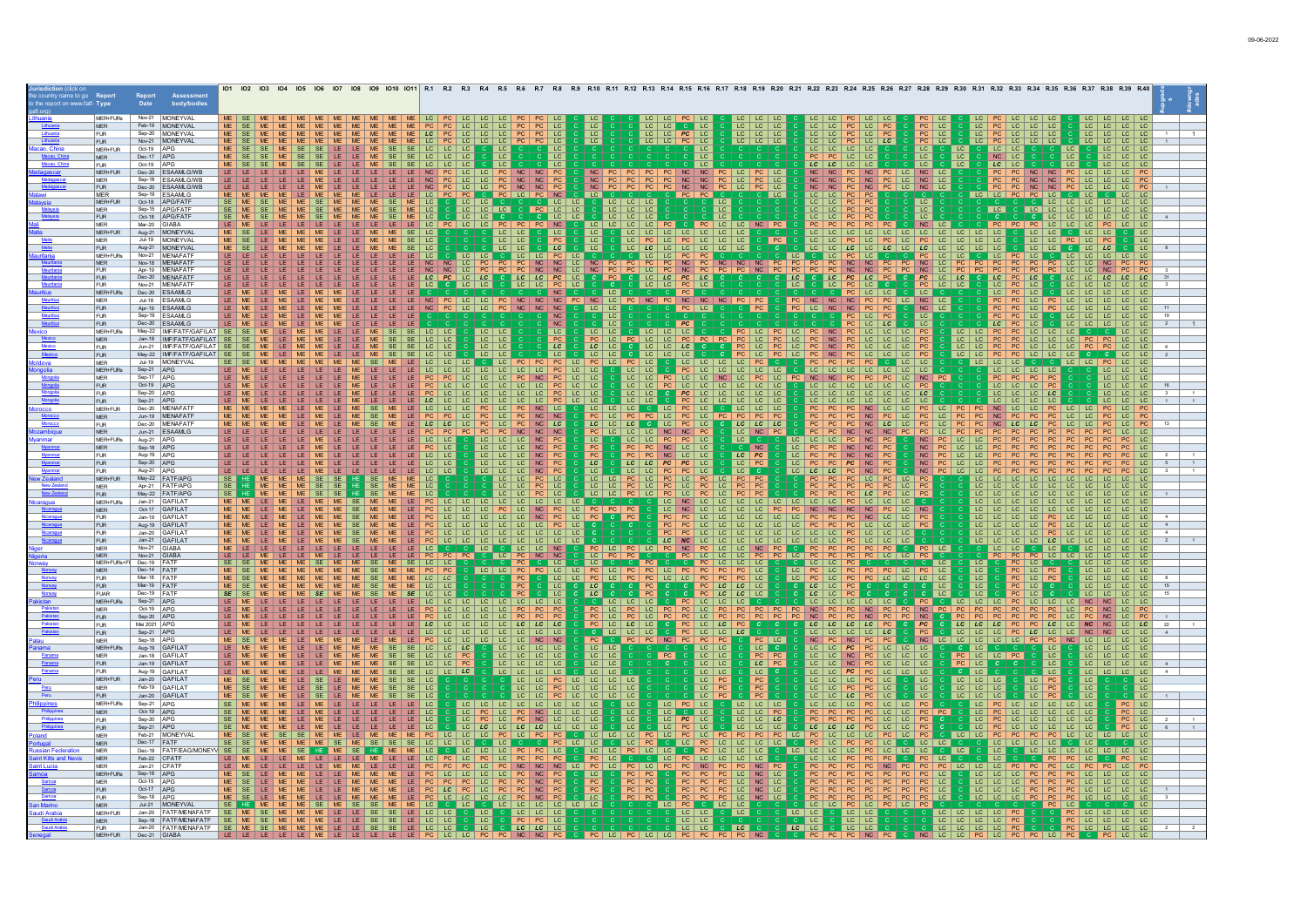|                           |                                                       | 101 102 103                                                                                                                                                                                              |  |
|---------------------------|-------------------------------------------------------|----------------------------------------------------------------------------------------------------------------------------------------------------------------------------------------------------------|--|
|                           | Assessmen<br>body/bodie:<br>Date                      |                                                                                                                                                                                                          |  |
|                           |                                                       |                                                                                                                                                                                                          |  |
| MER+FURs                  | Nov-21 MONEYVAL                                       |                                                                                                                                                                                                          |  |
| <b>MER</b><br><b>FUR</b>  | Feb-19 MONEYVAL<br>Sep-20 MONEYVAL                    | LC   LC   LC<br>$ LC $ $ LC $<br>$C$ LC<br>LC<br>LC.<br>LC<br>  LC<br>LC<br>LC<br>LC.<br>LC.<br>LC.<br>LC.                                                                                               |  |
| <b>FUR</b>                | Nov-21 MONEYVAL                                       | LC LC LC<br>LC LC LC<br>$\frac{LC}{LC}$<br>LC LC PC LC<br>LC LC PC LC<br>LC<br>LC<br>$LC$ $LC$<br>LC.<br>LC.<br>LC<br>LC.<br>$LC$   $LC$                                                                 |  |
| MER+FUR                   | Oct-19   APG                                          | LC<br>LC<br>LC<br>$LC$   $LC$                                                                                                                                                                            |  |
| <b>MER</b>                | Dec-17 APG                                            | LC<br>PC<br>PC<br>LC<br>LC  <br><b>LC</b>                                                                                                                                                                |  |
| <b>FUR</b>                | Oct-19 APG                                            | LC<br><b>LC</b><br>LC.                                                                                                                                                                                   |  |
| MER+FUR<br><b>MER</b>     | Dec-20 ESAAMLG/W<br>Sep-18 ESAAMLG/WB                 | <b>NC</b><br>$\frac{NC}{NC}$<br>NC<br><b>NC</b><br><b>NC</b>                                                                                                                                             |  |
| <b>FUR</b>                | Dec-20 ESAAMLG/WE                                     | <b>NC</b>                                                                                                                                                                                                |  |
| <b>MER</b>                | Sep-19 ESAAMLG                                        | LC.<br>$LC$ $PC$<br>LC.<br>LC.<br>  LC                                                                                                                                                                   |  |
| MER+FUR                   | Oct-18 APG/FATF                                       | LC                                                                                                                                                                                                       |  |
| <b>MER</b><br><b>FUR</b>  | Sep-15 APG/FATF<br>Oct-18 APG/FATE                    | LC<br>$\Box$ C                                                                                                                                                                                           |  |
| <b>MER</b>                | Mar-20 GIABA                                          | PC<br>PC<br>$NC$ $PC$<br>NC<br>LC   LC<br>LC.<br>LC                                                                                                                                                      |  |
| MER+FUR                   | Aug-21 MONEYVAL                                       | NC LC C C PC<br>LC LC LC LC LC<br>$\overline{LC}$<br> c <br>LC LC LC LC LC<br>$\overline{\text{LC}}$<br>$\overline{\phantom{a}}$ LC                                                                      |  |
| <b>MER</b>                | Jul-19 MONEYVAL                                       | PC<br>$LC$ $LC$<br>LC.<br>LC<br>LC<br>LC.<br><b>LC</b>                                                                                                                                                   |  |
| <b>FUR</b>                | Aug-21   MONEYVAL                                     | LC.<br>I LC I LC<br>LC<br>LC.                                                                                                                                                                            |  |
| MER+FURs<br><b>MER</b>    | Nov-21 MENAFATE<br>Nov-18 MENAFATF                    |                                                                                                                                                                                                          |  |
| <b>FUR</b>                | Apr-19 MENAFATE                                       | $NC$ LC<br>$NC$ LC<br>$\frac{NC}{NC}$                                                                                                                                                                    |  |
| <b>FUR</b>                | Dec-20 MENAFATF                                       |                                                                                                                                                                                                          |  |
| <b>FUR</b>                | Nov-21 MENAFATF                                       |                                                                                                                                                                                                          |  |
| MER+FURs                  | Dec-20 ESAAMLG<br>Jul-18 ESAAMLG                      | $NC$ $PC$<br>$NC$ $NC$<br>NC<br>NC LC<br>PC<br>PC                                                                                                                                                        |  |
| <b>MER</b><br>FUR.        | Apr-19 ESAAMLG                                        | NC LC<br>$ $ LC $ $<br>$\overline{PC}$<br>PC<br>NC<br>NC<br>LC LC<br>PC<br>PC<br>LC LC                                                                                                                   |  |
| <b>FUR</b>                | Sep-19 ESAAMLG                                        | PC<br><b>PC</b><br>LC.<br>LC.<br>LC.                                                                                                                                                                     |  |
| <b>FUR</b>                | Dec-20 ESAAMLG                                        | $\overline{LC}$<br>LC<br><b>NC</b><br>LC                                                                                                                                                                 |  |
| MER+FURs                  | May-22   IMF/FATF/GAFILA                              | LC<br>PC                                                                                                                                                                                                 |  |
| <b>MER</b>                | Jan-18  IMF/FATF/GAFILAT<br>Jun-21   IMF/FATF/GAFILAT | PC<br>PC.<br>PC<br>PC.<br>LC<br> LC <br>LC  <br>LC<br>LC.<br>$\overline{1}$ C<br>TC<br>PC<br>LC<br>PC.<br>PC LC LC<br>LC   LC<br>LC I                                                                    |  |
| <b>FUR</b><br><b>FUR</b>  | May-22   IMF/FATF/GAFILA                              | PC<br>LC.<br>$LC$ $LC$<br>$ $ LC $ $<br>PC.<br>$LC$ $LC$<br>$c$   $lc$                                                                                                                                   |  |
| MER                       | Jul-19 MONEYVAL                                       | $PC$ LC<br>PC<br>$LC$ $LC$<br>LC<br>LC LC PC LC<br>PC<br>LC.<br>LC<br>LC.<br>  <sub>LC</sub>  <br>LC.                                                                                                    |  |
| MER+FURs                  | Sep-21   APG                                          | $LC$ $LC$<br>$LC$ $LC$                                                                                                                                                                                   |  |
| MER                       | Sep-17 APG                                            | $LC$ $LC$ $PC$<br>NC<br>LC   LC   LC                                                                                                                                                                     |  |
| <b>FUR</b><br><b>FUR</b>  | Oct-19 APG<br>Sep-20 APG                              | <b>LC</b>                                                                                                                                                                                                |  |
| <b>FUR</b>                | Sep-21 APG                                            |                                                                                                                                                                                                          |  |
| MER+FUR                   | Dec-20 MENAFAT                                        | $ $ LC $ $<br>$LC$ $LC$                                                                                                                                                                                  |  |
| <b>MER</b>                | Jun-19 MENAFATF                                       | LC<br>PC<br>PC                                                                                                                                                                                           |  |
| <b>FUR</b>                | Dec-20 MENAFATE                                       | $LC$ $LC$ $LC$<br>LC<br><b>LC</b><br>PC<br>LC.<br>LC  <br>LC                                                                                                                                             |  |
| <b>MER</b><br>MER+FURs    | Jun-21 ESAAMLG<br>Aug-21 APG                          | $NC$ $NC$<br>NC<br>PC<br>LC NC<br>LC.<br>LC<br><b>PC</b><br>PC<br>LC<br>LC                                                                                                                               |  |
| <b>MER</b>                | Sep-18 APG                                            | C NC<br>N <sub>C</sub><br>PC<br>PC<br>NC<br>LC<br>LC<br>PC<br>PC<br>LC<br>PC.                                                                                                                            |  |
| <b>FUR</b>                | Aug-19 APG                                            | PC<br>PC<br>PC<br>$NC$ LC<br>LC<br>PC<br>LC<br>LC<br><b>PC</b><br>PC                                                                                                                                     |  |
| <b>FUR</b>                | Sep-20 APG                                            | LC PC<br>LC<br>LC<br>LC<br>LC<br>PC<br>PC<br>PC<br>LC.<br>PC.                                                                                                                                            |  |
| <b>FUR</b>                | Aug-21 APG                                            | LC<br>LC                                                                                                                                                                                                 |  |
| MER+FUR<br>MER            | May-22 FATF/APC<br>Apr-21 FATF/APC                    |                                                                                                                                                                                                          |  |
| <b>FUR</b>                | May-22 FATF/APC                                       |                                                                                                                                                                                                          |  |
| MER+FURs                  | Jan-21 GAFILAT                                        |                                                                                                                                                                                                          |  |
| <b>MER</b>                | Oct-17 GAFILAT                                        | NC                                                                                                                                                                                                       |  |
| <b>FUR</b>                | Jan-19 GAFILAT                                        | PC                                                                                                                                                                                                       |  |
| FUR.<br><b>FUR</b>        | Aug-19 GAFILAT<br>Jan-20 GAFII AT                     | PC.                                                                                                                                                                                                      |  |
| <b>FUR</b>                | Jan-21 GAFILAT                                        |                                                                                                                                                                                                          |  |
| <b>MER</b>                | Nov-21 GIABA<br>Nov-21 GIABA                          | $PC$ LC<br>$PC$ C<br>$\frac{1}{10}$<br>LC                                                                                                                                                                |  |
| MFR.                      |                                                       | $\begin{array}{ c c c }\hline c&c&c\ \hline c&c&c\ \hline \end{array}$<br>LC   LC                                                                                                                        |  |
| MER+FURs+I<br>MFR.        | Dec-19 FATE<br>Dec-14 FATF                            | $\frac{c}{1c}$<br>$ $ LC<br>LC  <br>LC.                                                                                                                                                                  |  |
| <b>FUR</b>                | Mar-18 FATF                                           | PC<br>LC.<br>LC LC                                                                                                                                                                                       |  |
| <b>FUR</b>                | Mar-19 FATE                                           | LC<br>LC                                                                                                                                                                                                 |  |
| <b>FUAR</b>               | Dec-19 FATE                                           | LC<br>LC.                                                                                                                                                                                                |  |
| MER+FURs                  | Sep-21 APG                                            |                                                                                                                                                                                                          |  |
| <b>MER</b><br><b>FUR</b>  | Oct-19 APG<br>Sep-20 APG                              | PC<br>PC   LC   PC   LC   PC  <br>PC<br>PC PC PC PC<br>N <sub>C</sub><br>$NC$ $PC$<br>PC<br>PC<br><b>PC</b><br>LC.<br>PC<br>PC.<br><b>PC</b><br>$\overline{1}$ C<br>PC<br>LC.<br>LC.<br>PC.<br><b>NC</b> |  |
| <b>FUR</b>                | Mai 2021 APG                                          | LC<br>LC.                                                                                                                                                                                                |  |
| <b>FUR</b>                | Sep-21   APG                                          | PC<br>$c$ LC $ $<br>$LC$ $LC$<br>LC.<br>LC<br>LC<br>$LC$   $LC$  <br>LC.                                                                                                                                 |  |
| MER                       | Sep-18 APG                                            | $PC$ LC<br>LC   LC   LC   LC   LC<br>$NC$ $PC$<br>PC<br>NC                                                                                                                                               |  |
| MER+FURs                  | Aug-19 GAFILAT<br>Jan-18 GAFILAT                      | LC C<br>$LC$ $LC$<br>LC<br>LC  <br>$\overline{1}$ C<br>PC LC LC PC<br>$LC$ LC<br>LC LC<br>LC<br>$IC$ $IC$<br>$\overline{1}$ C                                                                            |  |
| <b>MER</b><br>FUR.        | Jan-19 GAFILAT                                        | $LC$ PC<br>$PC$ LC<br>LC.<br>LC LC<br>LC   LC<br>LC<br>LC<br>LC.<br>I LC I<br>LC I<br>$LC$ $  LC$ $  LC$<br>LC                                                                                           |  |
| <b>FUR</b>                | Aug-19 GAFILAT                                        | $\frac{LC}{LC}$<br>LC<br><b>LC</b><br>$LC$ $LC$<br>LC<br>LC.<br>LC.<br>LC LC<br>$C$   LC<br>LC   LC   LC   LC                                                                                            |  |
| MER+FUR                   | Jan-20 GAFILAT                                        | LC   LC   LC  <br>PC<br>LC<br>LC PC<br>LC<br>$ LC $ LC<br>LC<br><b>PC</b><br>LC.<br>LC                                                                                                                   |  |
| MER                       | Feb-19 GAFILAT                                        | PC<br>PC<br>$ $ LC<br>LC<br>LC<br>LC<br>LC  <br>LC.<br>LC.<br>LC.<br>LC.                                                                                                                                 |  |
| <b>FUR</b>                | Jan-20 GAFILAT                                        | <b>CPCC</b><br>LCLCLC<br>LC<br>LC<br>$ $ LC<br>LC.<br>PC<br>LC.<br>LC<br>LC.                                                                                                                             |  |
| MER+FURs<br>MFR.          | Sep-21 APG<br>Oct-19 APG                              | LC   LC   LC<br>LC PC LC<br>LC C LC<br>$PC$ LC<br>LC<br>LC<br>PC<br>LC.<br>PC.<br>LC.<br>LC<br>PC.<br>LC.                                                                                                |  |
| <b>FUR</b>                | Sep-20 APG                                            | $PC$ LC<br>LC.<br><b>PC</b><br>LC.                                                                                                                                                                       |  |
| FUR                       | Sep-21 APG                                            | $\overline{1}$ C                                                                                                                                                                                         |  |
| <b>MER</b>                | Feb-21 MONEYVA                                        | LC   LC   LC<br>PC.<br>LC.                                                                                                                                                                               |  |
| <b>MER</b>                | Dec-17 FATE                                           | LC<br>PC.                                                                                                                                                                                                |  |
| <b>MER</b>                | Dec-19 FATF/EAG/MONE<br>Feb-22 CFATF                  | $LC$ $  LC$ $  LC$<br>LC.                                                                                                                                                                                |  |
| <b>MER</b><br><b>MER</b>  | Jan-21 CFATF                                          | LC                                                                                                                                                                                                       |  |
| MER+FURs                  | Sep-18 APG                                            |                                                                                                                                                                                                          |  |
| <b>MER</b>                | Oct-15 APG                                            | PC                                                                                                                                                                                                       |  |
| FUR.                      | Oct-17 APG                                            | $\overline{PC}$<br>LC<br>LC 1                                                                                                                                                                            |  |
| <b>FLIR</b><br><b>MFR</b> | Sep-18 APG<br>Jul-21 MONEYVAL                         | PC<br>PC<br>PC<br>PC.<br>LC<br>$\overline{1}$ C<br>LC.<br>LC.<br>PC                                                                                                                                      |  |
| MER+FUR                   | Jan-20 FATE/MENAFAT                                   | I LC I LC<br>LC                                                                                                                                                                                          |  |
| <b>MER</b>                | Sep-18 FATF/MENAFATF                                  |                                                                                                                                                                                                          |  |
| <b>FUR</b>                | Jan-20   FATF/MENAFATF                                |                                                                                                                                                                                                          |  |
| MER+FUR                   | Dec-21 GIARA                                          |                                                                                                                                                                                                          |  |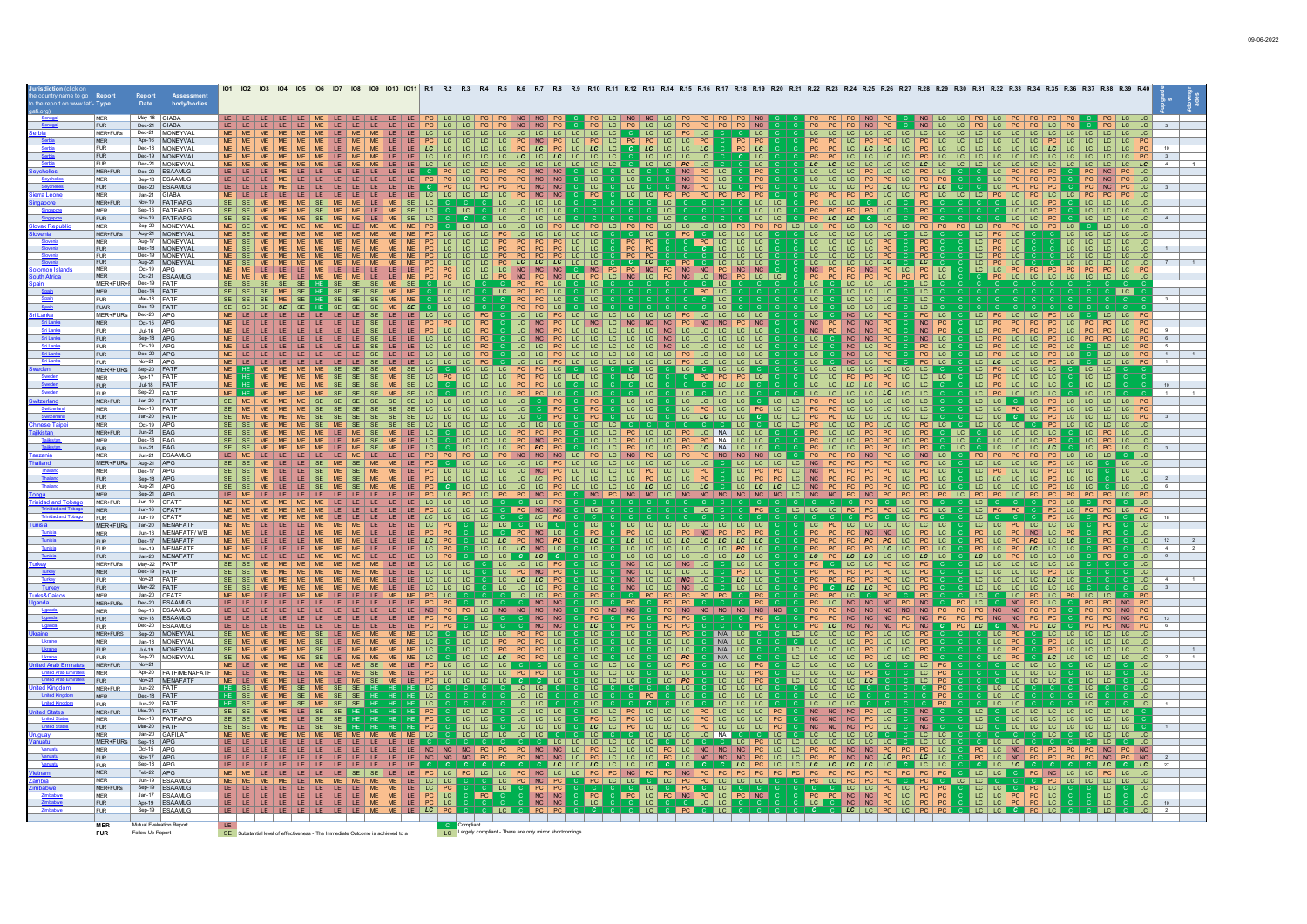|                              |                          |                             |                                           |           | 101 102 103                         |  |              |                    |                     |                                                                     |                        |                     |                              |                             |                                                   |                                                                         |                                  |                                        |                                         |                                                    |                                   |
|------------------------------|--------------------------|-----------------------------|-------------------------------------------|-----------|-------------------------------------|--|--------------|--------------------|---------------------|---------------------------------------------------------------------|------------------------|---------------------|------------------------------|-----------------------------|---------------------------------------------------|-------------------------------------------------------------------------|----------------------------------|----------------------------------------|-----------------------------------------|----------------------------------------------------|-----------------------------------|
| irt on www.fatf- <b>Type</b> |                          | Date                        | Assessmen<br>body/bodies                  |           |                                     |  |              |                    |                     |                                                                     |                        |                     |                              |                             |                                                   |                                                                         |                                  |                                        |                                         |                                                    |                                   |
|                              |                          |                             |                                           |           |                                     |  |              |                    |                     |                                                                     |                        |                     |                              |                             |                                                   |                                                                         |                                  |                                        |                                         |                                                    |                                   |
|                              | <b>MFR</b>               | May-18 GIABA                |                                           |           |                                     |  |              |                    |                     |                                                                     |                        |                     |                              |                             |                                                   |                                                                         |                                  |                                        |                                         |                                                    |                                   |
|                              | <b>IFUR</b><br>MER+FURs  | Dec-21 GIABA                | Dec-21 MONEYVAL                           |           |                                     |  |              |                    |                     |                                                                     |                        |                     | LC.                          |                             | I LC                                              |                                                                         |                                  |                                        |                                         |                                                    |                                   |
|                              | MFR.                     |                             | Apr-16 MONEYVAL                           |           |                                     |  |              |                    |                     |                                                                     |                        |                     | $\overline{1}$ C             |                             | <b>PC</b>                                         |                                                                         |                                  |                                        |                                         |                                                    |                                   |
|                              | <b>FUR</b>               |                             | Dec-18   MONEYVAL                         |           |                                     |  |              |                    |                     |                                                                     |                        |                     | LC                           | LC LC LC                    | LC                                                |                                                                         |                                  |                                        |                                         |                                                    |                                   |
|                              | <b>FUR</b>               |                             | Dec-19 MONEYVAL                           |           |                                     |  |              |                    |                     |                                                                     |                        | LC                  | LC LC LC                     | LC.                         | LC                                                |                                                                         |                                  |                                        |                                         |                                                    |                                   |
|                              | <b>FUR</b>               |                             | Dec-21 MONEYVAL                           |           |                                     |  |              |                    |                     |                                                                     |                        | TC.                 | LC.                          | <b>PC</b>                   | $\overline{c}$                                    |                                                                         |                                  |                                        |                                         |                                                    | LC                                |
|                              | MFR+FUR<br><b>MFR</b>    |                             | Dec-20 ESAAMLG<br>Sep-18 ESAAMLG          |           |                                     |  |              |                    |                     |                                                                     |                        | LC                  | LC                           | N <sub>C</sub>              | PC.                                               |                                                                         |                                  |                                        |                                         | NC                                                 | $PC$ $\perp$ $IC$                 |
|                              | <b>FUR</b>               |                             | Dec-20 ESAAMLG                            |           |                                     |  |              |                    |                     | NC<br><b>NC</b>                                                     | NC<br><b>NC</b>        | LC<br>LC            | LC<br><b>LC</b>              |                             |                                                   |                                                                         | LC                               |                                        |                                         |                                                    | $PC$ LC<br>$ $ LC                 |
|                              | <b>MER</b>               | Jan-21 GIABA                |                                           |           |                                     |  |              |                    |                     | PC<br>NC                                                            | <b>NC</b>              | PC                  | LC LC <br>PC                 | PC                          |                                                   |                                                                         |                                  |                                        | PC.                                     | PC                                                 | $PC$ LC                           |
|                              | MER+FUR                  |                             | Nov-19 FATF/APG                           |           |                                     |  | SE LC        |                    |                     | LC<br> LC                                                           | $LC$ $LC$              |                     |                              |                             |                                                   |                                                                         |                                  |                                        | LC.                                     | LC                                                 | $LC$ LC                           |
|                              | <b>MER</b>               |                             | Sep-16 FATF/APG                           |           |                                     |  |              | $rac{c}{\sqrt{c}}$ |                     | LC.                                                                 | $LC$ $LC$              |                     |                              |                             |                                                   |                                                                         |                                  |                                        |                                         |                                                    | LC LC                             |
|                              | FUR.                     |                             | Nov-19 FATF/APG<br>Sep-20 MONEYVAL        |           |                                     |  |              |                    | LC LC               |                                                                     | PC                     |                     |                              | LC LC LC                    |                                                   | $LC$ $LC$                                                               |                                  |                                        |                                         |                                                    | LC   LC                           |
|                              | <b>MER</b><br>MER+FURs   |                             | Aug-21 MONEYVAL                           |           |                                     |  |              |                    |                     |                                                                     | LC PC<br>LC.           |                     | LC.                          |                             |                                                   | PC LC LC PC                                                             | LC.                              |                                        |                                         |                                                    | LC LC                             |
|                              | <b>MFR</b>               |                             | Aug-17 MONEYVAL                           |           |                                     |  |              |                    |                     |                                                                     |                        |                     |                              |                             |                                                   |                                                                         |                                  |                                        |                                         |                                                    |                                   |
|                              | <b>FUR</b>               |                             | Dec-18 MONEYVAL                           |           |                                     |  |              |                    |                     |                                                                     |                        |                     |                              |                             |                                                   |                                                                         |                                  |                                        |                                         |                                                    |                                   |
|                              | <b>FUR</b>               |                             | Dec-19 MONEYVAL                           |           |                                     |  |              |                    |                     |                                                                     |                        |                     |                              |                             |                                                   |                                                                         |                                  |                                        |                                         |                                                    |                                   |
|                              | <b>MER</b>               | Oct-19 APG                  | Aug-21 MONEYVAL                           |           |                                     |  |              |                    |                     |                                                                     |                        |                     |                              |                             |                                                   |                                                                         |                                  |                                        |                                         |                                                    |                                   |
|                              | <b>MER</b>               |                             | Oct-21 ESAAMLG                            |           |                                     |  |              |                    |                     |                                                                     |                        |                     |                              |                             | $LC$ $LC$                                         |                                                                         |                                  |                                        |                                         | $LC$ $LC$ $IC$                                     |                                   |
|                              | MER+FUR+                 | Dec-19 FATF                 |                                           |           |                                     |  |              |                    |                     |                                                                     |                        |                     |                              |                             | LC                                                | LC                                                                      |                                  |                                        |                                         |                                                    |                                   |
|                              | MER<br><b>FUR</b>        | Dec-14 FATF<br>Mar-18 FATF  |                                           |           |                                     |  |              | $LC$ $LC$          | $ $ LC $ $          | PC PC LC                                                            | LC                     | LC                  |                              | $PC$ LC                     |                                                   | LC<br>$LC$ $LC$<br>LC.                                                  | LC                               |                                        |                                         | $ $ LC $ $                                         |                                   |
|                              | <b>FUAR</b>              | Dec-19 FATF                 |                                           |           |                                     |  |              | $LC$ $LC$<br>LC    |                     | PC                                                                  | <b>LC</b>              |                     |                              |                             | LC                                                | LC<br>$LC$ $LC$<br>LC.<br>LC<br>LC<br>LC<br>LC                          | LC<br>LC                         |                                        |                                         |                                                    |                                   |
|                              | MER+FURs                 | Dec-20 APG                  |                                           |           |                                     |  |              | $LC$ $LC$          |                     | $\overline{1}$ C                                                    | LC   LC                |                     | LC   LC   LC   LC            |                             | $LC$ $LC$                                         | LC<br>NC<br>LC.<br><b>PC</b>                                            | PC                               |                                        |                                         |                                                    |                                   |
|                              | <b>MER</b>               | Oct-15 APG                  |                                           |           |                                     |  |              | PC                 |                     | <b>NC</b>                                                           |                        |                     | NC                           |                             | <b>NC</b>                                         | NC<br>NC<br>PC<br>NC<br><b>PC</b>                                       | $NC$ $PC$                        |                                        |                                         |                                                    |                                   |
|                              | <b>FUR</b>               | Jul-16 APG                  |                                           |           |                                     |  |              |                    |                     |                                                                     |                        |                     |                              |                             | $LC$ $  LC$ $  LC$                                | NC<br>P <sub>C</sub><br>$NC$ $PC$                                       | $NC$ $PC$                        |                                        |                                         | PC LC                                              |                                   |
|                              | <b>FUR</b>               | Sep-18 APG                  |                                           |           |                                     |  |              |                    |                     |                                                                     |                        |                     |                              |                             |                                                   | <b>NC</b><br>PC                                                         | $NC$ LC                          |                                        |                                         | LC                                                 |                                   |
|                              | <b>FUR</b><br><b>FUR</b> | Oct-19 APG<br>Dec-20 APG    |                                           |           |                                     |  |              |                    |                     |                                                                     |                        | $LC$ $  LC$         | $LC$ $PC$                    |                             |                                                   | LC<br>LC<br>PC<br>PC<br>LC.                                             | $PC$ LC<br>PC LC                 |                                        | LC                                      | LC<br>LC   LC                                      |                                   |
|                              | FUR.                     | Nov-21 APG                  |                                           |           |                                     |  |              |                    |                     | LC                                                                  |                        |                     | $LC$ $LC$ $LC$               | LC                          |                                                   |                                                                         | LC                               |                                        | LC                                      | LC   LC   PC<br>LC                                 |                                   |
|                              | MER+FUR:                 | Sep-20 FATF                 |                                           |           |                                     |  |              |                    | $LC$ $  LC$ $  LC$  | PC                                                                  | $PC$ LC                |                     |                              | $\overline{\phantom{a}}$ LC | $ $ LC $ $ LC                                     | LC   LC   LC   LC   LC                                                  |                                  | LC                                     | PC LC LC LC                             | $LC$ LC                                            |                                   |
|                              | <b>MER</b>               | Apr-17 FATF                 |                                           | <b>ME</b> |                                     |  | LC           | $PC$ $ $ $LC$ $ $  |                     | LC   LC   PC   PC   LC                                              | $LC$ $LC$              |                     | LC LC                        | PC                          | $PC$ $PC$<br>LC                                   | PC<br>PC                                                                | PC LC LC LC                      | PC<br>$ $ LC $ $                       | ILC ILC ILC                             | $ $ LC $ $ LC                                      |                                   |
|                              | <b>FUR</b>               | Jul-18 FATF                 |                                           |           |                                     |  |              |                    | LC.<br>LC           | $PC$ $PC$                                                           | LC                     | LC                  | LC                           |                             | $LC$ $LC$                                         |                                                                         | LC   LC                          |                                        | LC PC LC LC LC                          | LC   LC                                            |                                   |
|                              | <b>FUR</b><br>MER+FUR    | Sep-20 FATF<br>Jan-20 FATF  |                                           |           |                                     |  |              | $ LC $ LC          | LC LC<br>LC         | PC                                                                  | $PC$ LC                |                     | $ $ LC $ $                   | LC                          | LC   LC                                           |                                                                         | $LC$   $LC$<br>LC                | $LC$ $PC$                              | $ LC $ $ LC $                           | $LC$ LC                                            |                                   |
|                              | MER                      | Dec-16 FATF                 |                                           |           |                                     |  |              |                    |                     | LC LC LC<br>LC                                                      | $C$ PC<br>PC           | PC                  | LC LC<br>LC LC               | LC LC LC LC<br>LC PC LC LC  | PC                                                |                                                                         |                                  | $ _{LC} $<br>LC                        |                                         | LC C LC PC LC LC LC LC LC PC                       |                                   |
|                              | <b>FUR</b>               | Jan-20   FATF               |                                           |           |                                     |  |              |                    |                     |                                                                     |                        |                     | $LC$ $LC$                    | $ $ LC $ $                  |                                                   |                                                                         |                                  |                                        | PC LC PC<br>C LC PC                     |                                                    |                                   |
|                              | MER                      | Oct-19 APG                  |                                           |           |                                     |  |              |                    | LC   LC             | <sub>LC</sub>   <sub>LC</sub>                                       |                        | $LC$ $LC$           |                              |                             |                                                   |                                                                         | LC                               | LC                                     | LC   LC                                 | $LC$ $ LC $ $LC$<br>LC I                           |                                   |
|                              | MER+FUR                  | Jun-21 $EAG$                |                                           |           |                                     |  |              |                    |                     |                                                                     | PC PC<br>NC PC         | LC LC               |                              |                             | NA LC LC                                          |                                                                         |                                  | $ $ LC $ $                             | LC LC LC LC<br>LC LC LC PC              | PC LC LC<br>$ $ LC $ $                             |                                   |
|                              | <b>MER</b>               | Dec-18 EAG                  |                                           |           |                                     |  |              |                    |                     |                                                                     |                        |                     |                              |                             | I NA<br>LC   LC                                   |                                                                         | LC.<br>PC                        | LC                                     |                                         | LC<br>$PC$ LC LC                                   |                                   |
|                              | <b>FUR</b><br><b>MFR</b> | Jun-21 EAG                  | Jun-21 ESAAMLG                            |           |                                     |  |              |                    |                     |                                                                     |                        |                     |                              |                             | NC LC                                             |                                                                         | LC.<br>$NC$ LC                   | PC                                     | LC LC<br>LC<br>PC<br>PC                 | LC<br><b>PC</b><br>$ $ LC                          | $LC$ $LC$                         |
|                              | MER+FUR                  | Aug-21 APG                  |                                           |           |                                     |  |              |                    |                     |                                                                     |                        |                     |                              |                             |                                                   |                                                                         | LC                               |                                        | LC                                      | PC LC LC<br>PC LC LC                               | $CC$ $LC$                         |
|                              | MER                      | Dec-17 APG                  |                                           |           |                                     |  |              |                    |                     |                                                                     |                        |                     |                              |                             |                                                   |                                                                         |                                  |                                        |                                         |                                                    | $LC$ $LC$                         |
|                              | <b>FUR</b>               | Sep-18 APG                  |                                           |           |                                     |  |              |                    |                     |                                                                     |                        |                     |                              |                             |                                                   |                                                                         |                                  |                                        |                                         | LC                                                 |                                   |
|                              | <b>FUR</b>               | Aug-21 APG                  |                                           |           |                                     |  |              | PC C               | IC IC IC            | LC   LC   PC                                                        |                        |                     | LC LC LC LC LC LC LC LC      |                             | LC                                                | LC LC LC NC PC PC<br>PC<br>PC                                           |                                  |                                        | $LC$ $  LC$ $  LC$ $  LC$               |                                                    | LC   LC                           |
|                              | <b>MER</b><br>MER+FUR    | Sep-21 APG<br>Jun-19 CFATF  |                                           |           |                                     |  |              | $ _{LC} $<br>PC    | LC.<br>$LC$ $LC$    | PC<br>C LC PC                                                       | $NC$ $PC$              |                     |                              |                             | NCPC NC NC NC LC NC NC NC NC NC NC NC LC NC NC PC | <b>NC</b>                                                               | PC<br>PC<br>$PC$ LC<br>PC<br>LC. | PC<br>LC.                              | PC LC PC                                | LC                                                 |                                   |
|                              | MER                      | Jun-16 CFATF                |                                           |           |                                     |  |              |                    |                     |                                                                     | $NC$ $NC$              | LC                  |                              |                             |                                                   | LC   LC   LC   PC                                                       | PC<br>LC                         |                                        |                                         | LC                                                 |                                   |
|                              | FUR                      | Jun-19 CFATF                |                                           |           |                                     |  |              |                    | LC                  | LC PC                                                               |                        |                     |                              |                             |                                                   | l LC.                                                                   |                                  |                                        |                                         |                                                    | LC                                |
|                              | MER+FUR:                 |                             | Jan-20   MENAFATE                         |           |                                     |  |              |                    | $rac{c}{LC}$        | LC                                                                  |                        | LC                  |                              |                             |                                                   |                                                                         | $LC$   $LC$<br>LC.               | LC.                                    | LC <br>PC LC LC LC<br>PC NC LC PC       |                                                    |                                   |
|                              | <b>MER</b>               |                             | Jun-16   MENAFATF/WB<br>Dec-17   MENAFATF |           |                                     |  |              |                    |                     | PC NC LC                                                            |                        |                     |                              |                             |                                                   | NC LC                                                                   | PC LC                            | PC LC                                  |                                         |                                                    | $\overline{\phantom{a}}$ LC       |
|                              | FUR.<br><b>FUR</b>       |                             | Jan-19 MENAFATF                           |           |                                     |  | LC<br>LC.    | PC<br>PC           | LC LC PC            |                                                                     | NC PC                  | LC<br>LC.           | LC.                          | LC.                         | $LC$ $LC$ $LC$ $LC$<br>LC.<br>l PC<br>l LC        | PC<br>$rac{PC}{PC}$<br>PC<br>LC                                         | LC PC LC<br>LC PC LC             | LC<br>PC LC                            | $PC$ LC $LC$<br>LC LC LC<br>PC          | $\frac{PC}{PC}$                                    | LC<br>12<br>LC<br>4               |
|                              | FUR                      |                             | Jan-20 MENAFATF                           |           |                                     |  |              | PC                 | LC                  | LC                                                                  |                        | LC                  | LC.                          |                             | LC<br>LC                                          | $LC$ $LC$                                                               | $LC$ $LC$ $LC$<br>LC             | LC LC PC                               | $LC$   $LC$   $LC$                      |                                                    | LC<br>9                           |
|                              | MER+FURs                 | Mav-22 FATE                 |                                           |           |                                     |  |              | LC                 |                     | LC PC<br>NC PC                                                      |                        | LC                  | NC                           |                             | LC<br>LC                                          | PC LC PC<br>$LC$ $LC$                                                   |                                  | <sub>LC</sub>                          |                                         |                                                    | LC                                |
|                              | <b>MER</b>               | Dec-19 FATF                 |                                           |           |                                     |  | LC.          | LC                 | LC                  | PC                                                                  |                        | LC                  | NC<br>$LC$ $LC$<br>LC.       | LC                          | PC<br>LC                                          | $\frac{ PC }{ PC }$<br>$rac{PC}{PC}$<br>PC PC LC<br>PC.                 |                                  |                                        | $LC$ $  LC$<br>$PC$ $\perp$ $IC$<br>LC  |                                                    | LC                                |
|                              | <b>FUR</b>               | Nov-21 FATF                 |                                           |           |                                     |  |              |                    | LC                  | LC                                                                  | LC PC                  | LC.                 | NC<br>LC  <br>LC             | $NC$ $LC$                   | LC <br>LC                                         |                                                                         |                                  | LC.<br>LC                              | $LC$ $LC$ $LC$                          |                                                    | LC                                |
|                              | <b>FUR</b><br>MER        | May-22 FATF<br>Jan-20 CFATF |                                           |           |                                     |  |              |                    |                     | LC LC LC PC<br>  LC                                                 | PC                     | LC<br><b>PC</b>     | LC   LC   NC   LC  <br>NC    |                             | LC<br>LC                                          | PC CLCLC PCLC                                                           | PC                               |                                        | LC   LC   LC   LC   LC                  |                                                    |                                   |
|                              | MER+FURs                 |                             | Dec-20 ESAAMLG                            |           |                                     |  |              |                    |                     | C NC NC                                                             |                        | LC                  | PC<br>PC                     | PC                          |                                                   | NC<br>NC                                                                | PC<br>NC                         |                                        | PC                                      |                                                    | PC                                |
|                              | MER                      |                             | Sep-16 ESAAMLG                            |           |                                     |  |              |                    |                     | PC LC NC NC NC                                                      | NC                     | NC                  | NC                           | <b>NC</b>                   | $NC$ $NC$ $NC$<br><b>NC</b>                       | NC<br>NC<br>NC<br>PC                                                    | NC<br>NC<br>PC                   | $rac{PC}{PC}$<br>$\frac{NC}{NC}$<br>PC | NC<br>PC<br>PC                          |                                                    |                                   |
|                              | <b>FUR</b>               |                             | Nov-18 ESAAMLG                            |           |                                     |  |              |                    |                     | NC                                                                  | $\overline{\text{NC}}$ |                     |                              |                             |                                                   | NC                                                                      | PC                               |                                        |                                         |                                                    |                                   |
|                              | <b>FUR</b><br>MER+FURS   |                             | Dec-20 ESAAMLG<br>Sep-20 MONEYVAL         |           |                                     |  |              |                    | LC.                 | NC                                                                  | NC<br>LC               | LC<br>LC            | PC<br>$\overline{LC}$<br>LC. | <b>PC</b><br>PC             | N/A LC                                            | NC NC PC<br>NC<br>LC<br>PC<br>LC.<br>I LC I<br>LC.<br>LC LC             | NC<br><b>PC</b>                  | LC                                     | C NC<br>PC<br><b>LC</b><br>LC PC<br>LC. | LC.                                                | <b>PC</b><br>LC LC                |
|                              | MER                      |                             | Jan-18 MONEYVAL                           |           |                                     |  | ME   ME   LC |                    |                     | LC LC LC PC PC<br>LC LC PC PC PC                                    | $\overline{LC}$        | $\overline{LC}$     | $\overline{LC}$<br>$LC$ $LC$ |                             | N/A LC                                            | PC LC LC PC<br>LC   LC   LC                                             |                                  | LC                                     | PC LC                                   | LC.<br>LC   LC   LC                                |                                   |
|                              | FUR                      |                             | Jul-19 MONEYVAL                           |           |                                     |  |              |                    |                     | PC.                                                                 | LC                     | LC                  | LC<br>$LC$ LC                |                             | N/A LC                                            | LC   LC   LC   PC   LC   LC   PC                                        |                                  |                                        |                                         |                                                    | $LC$   $LC$                       |
|                              | <b>FUR</b>               |                             | Sep-20 MONEYVAL                           |           |                                     |  | MF           |                    | LC                  | PC                                                                  |                        |                     | LC PC<br>LC                  |                             | $N/A$ LC                                          | LC   LC   LC   PC  <br>$ LC $ $ LC $                                    | <b>PC</b>                        | LC                                     | LC<br>PC.                               | LC<br>  <sub>LC</sub>                              | $LC$ LC                           |
|                              | MER+FUR                  | Nov-21                      |                                           |           |                                     |  | <b>ME</b>    | LC   LC            | $LC$   $LC$         |                                                                     | $C$ LC                 | $LC$ $ $ $LC$<br>LC |                              |                             | LC LC PC                                          | rc   rc   rc   rc   rc                                                  | $LC$ $PC$                        |                                        | LC CC CC                                | $LC$ $LC$                                          | $ $ LC                            |
|                              | MER<br><b>FUR</b>        |                             | Apr-20 FATF/MENAFATE<br>Nov-21 MENAFATF   |           |                                     |  | <b>ME</b>    |                    | $LC$ $LC$ $LC$ $LC$ | PC LC LC LC LC C PC PC LC                                           | $ $ LC                 | LC   LC   LC        | $LC$ $LC$<br>LC              | PC                          | LC LC PC                                          | LC   LC   LC   LC   PC<br>$ LC $ $ LC $<br>LC<br>LC                     | $LC$ $PC$<br>LC                  |                                        | LC   LC   LC<br>$LC$ LC                 | $LC$ LC<br>LC                                      | $\overline{\phantom{a}}$ LC<br>LC |
|                              | MER+FUR                  | Jun-22 FATF                 |                                           |           |                                     |  |              |                    |                     | $ LC $ $ LC $                                                       |                        |                     |                              | LC                          | LC   LC   LC                                      | LC   LC   LC                                                            |                                  |                                        | $LC$   $LC$                             | <b>LC</b>                                          | LC                                |
|                              | <b>MER</b>               | Dec-18 FATF                 |                                           |           |                                     |  |              |                    |                     | $LC$ $LC$                                                           |                        |                     |                              |                             | L <sub>C</sub><br>LC.                             | $ $ LC $ $ LC $ $<br>LC                                                 |                                  | LC.                                    | LC                                      | LC                                                 | LC                                |
|                              | <b>FUR</b>               | Jun-22 FATF                 |                                           |           |                                     |  |              |                    |                     | LC                                                                  |                        |                     |                              |                             |                                                   | LC<br>LC.                                                               |                                  | LC.                                    |                                         |                                                    | LC                                |
|                              | MER+FUR                  | Mar-20 FATF                 |                                           |           |                                     |  |              |                    | $LC$ $LC$           | LC LC LC                                                            |                        |                     |                              |                             |                                                   | NC NC NC PC LC                                                          | NC                               |                                        |                                         | LC   LC   LC   LC   LC   LC   LC                   |                                   |
|                              | <b>MER</b><br><b>FUR</b> | Mar-20 FATF                 | Dec-16 FATF/APG                           |           |                                     |  | PC           |                    | LC LC<br>LC   LC    | $LC$ $LC$<br>LC.                                                    |                        |                     | PC LC PC LC LC LC<br>LC.     | LC.<br>PC LC                | LC LC LC PC<br>LC.                                | PC LC<br>NC<br>$N$ C<br>NC<br><b>LC</b><br>NC<br><b>NC</b><br><b>PC</b> | $\frac{\text{NC}}{\text{NC}}$    | $rac{LC}{LC}$                          | LC                                      | LC LC LC LC LC LC LC<br>LC   LC   LC   LC  <br>LC. |                                   |
|                              | MER                      | Jan-20 GAFILA               |                                           |           |                                     |  |              |                    |                     |                                                                     |                        |                     |                              |                             |                                                   |                                                                         | LC                               |                                        |                                         |                                                    |                                   |
|                              | MER+FUR:                 | Sep-18 APG                  |                                           |           |                                     |  |              |                    |                     |                                                                     |                        |                     |                              |                             |                                                   |                                                                         | LC                               |                                        |                                         |                                                    |                                   |
|                              | <b>MER</b>               | Oct-15 APG                  |                                           |           |                                     |  |              |                    |                     |                                                                     |                        |                     |                              | <b>NC</b><br>LC             | NC                                                |                                                                         |                                  | $PC$ LC                                | NC PC                                   | PC<br>NC<br>PC                                     |                                   |
|                              | <b>FUR</b><br><b>FUR</b> | Nov-17 APG<br>Sep-18 APG    |                                           |           |                                     |  |              |                    |                     |                                                                     | LC.                    |                     |                              |                             |                                                   | LC.<br><b>NC</b><br><b>NC</b><br>LC.<br>  LC                            |                                  |                                        | LC.                                     | LC                                                 | LC.                               |
|                              | MFR.                     | $Feh-22$ $APG$              |                                           |           |                                     |  |              |                    |                     |                                                                     |                        |                     |                              |                             | LC                                                | LC<br>LC<br>PC<br>$PC$ $PC$<br>PC.                                      | $LC$ $LC$<br> PC PC              | LC LC                                  |                                         | C PC NC LC LC PC LC LC                             |                                   |
|                              | <b>MFR</b>               | Jun-19 ESAAML               |                                           |           |                                     |  |              |                    |                     |                                                                     |                        |                     |                              |                             |                                                   |                                                                         |                                  |                                        |                                         | LC   LC   LC<br>$LC$ $LC$                          |                                   |
|                              | MER+FURs                 |                             | Sep-19 ESAAMLG                            |           |                                     |  |              |                    |                     | PC PC<br>NC NC                                                      |                        |                     | $ $ LC $ $                   | PC                          |                                                   |                                                                         | PC LC PC                         |                                        |                                         |                                                    |                                   |
|                              | MER                      |                             | Jan-17   FSAAMI G                         |           |                                     |  |              |                    |                     |                                                                     |                        |                     | PC NC<br>LC.                 |                             |                                                   | NC<br>NC<br>PC                                                          | $LC$ $PC$                        |                                        | $LC$ PC                                 |                                                    |                                   |
|                              | <b>FUR</b><br><b>FUR</b> |                             | Apr-19 ESAAMLG<br>Sep-19 <b>IFSAAMIG</b>  |           |                                     |  |              |                    |                     |                                                                     | NC                     |                     |                              |                             |                                                   | LC                                                                      |                                  |                                        |                                         |                                                    |                                   |
|                              |                          |                             |                                           |           |                                     |  |              |                    |                     |                                                                     |                        |                     |                              |                             |                                                   |                                                                         |                                  |                                        |                                         |                                                    |                                   |
|                              | <b>MER</b>               | Mutual Evaluation Repo      |                                           |           |                                     |  |              |                    |                     | C Compliant<br>LC Largely compliant - There are only minor shortcom |                        |                     |                              |                             |                                                   |                                                                         |                                  |                                        |                                         |                                                    |                                   |
|                              | <b>FUR</b>               | Follow-Up Report            |                                           |           | SE Substantial level of effectivene |  |              |                    |                     |                                                                     |                        |                     |                              |                             |                                                   |                                                                         |                                  |                                        |                                         |                                                    |                                   |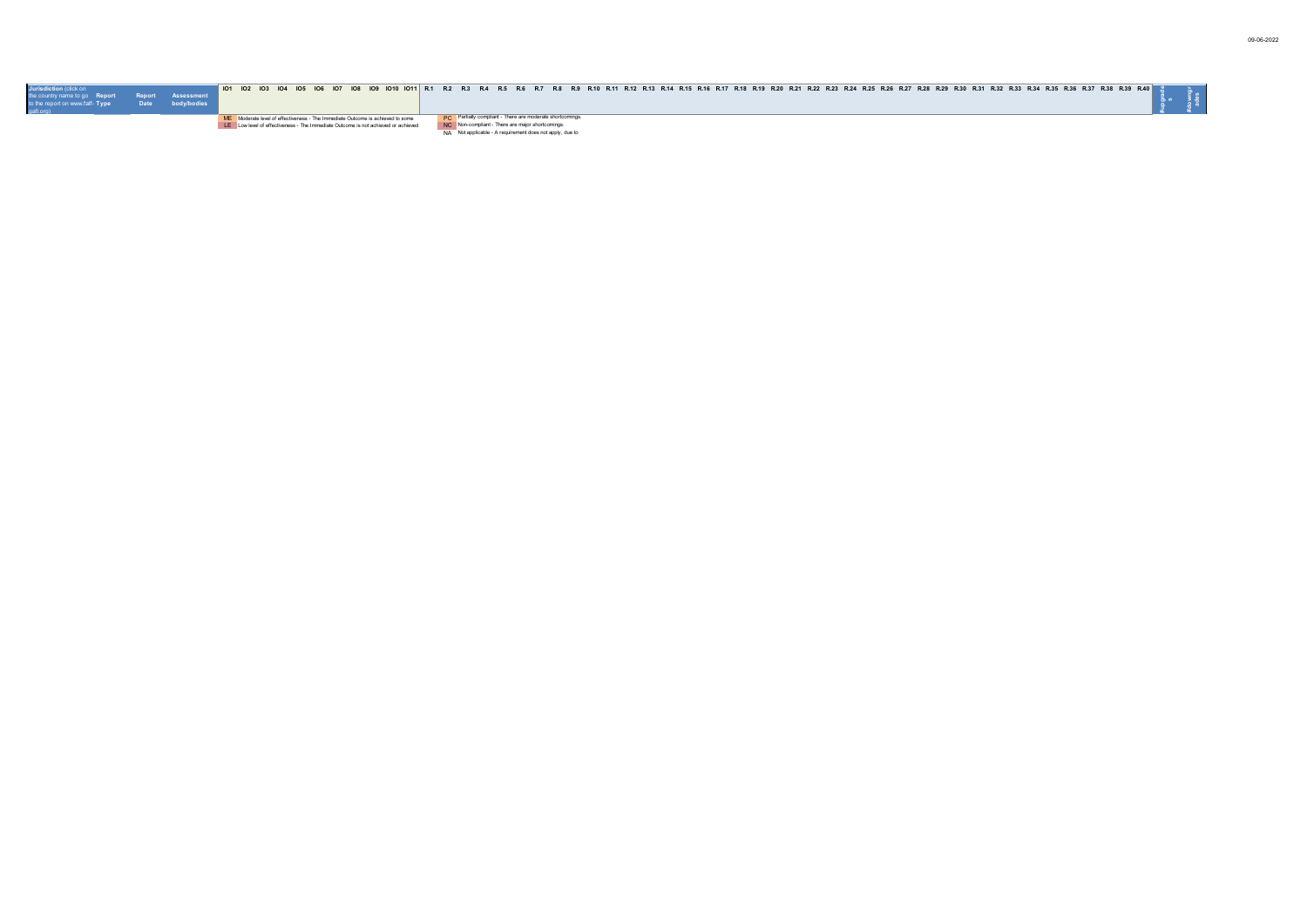| Jurisdiction (click on<br>the country name to go  Report  Report  Assessment<br>to the report on www.fatf- Type | body/bodies | 01 101 102 103 104 105 106 107 108 109 1010 1011 R.1 R.2 R.3 R.4 R.5 R.6 R.7 R.8 R.9 R.11 R.12 R.13 R.16 R.16 R.16 R.17 R.18 R.19 R.20 R.21 R.22 R.23 R.25 R.25 R.26 R.25 R.26 R.21 R.32 R.31 R.32 R.34 R.35 R.35 R.35 R.36 R.                                                                                                                       |
|-----------------------------------------------------------------------------------------------------------------|-------------|------------------------------------------------------------------------------------------------------------------------------------------------------------------------------------------------------------------------------------------------------------------------------------------------------------------------------------------------------|
|                                                                                                                 |             | <b>PC</b> Partially compliant - There are moderate shortcomings.<br>Moderate level of effectiveness - The Immediate Outcome is achieved to some<br>NC Non-compliant - There are major shortcomings.<br>LE Low level of effectiveness - The Immediate Outcome is not achieved or achieved<br>NA Not applicable - A requirement does not apply, due to |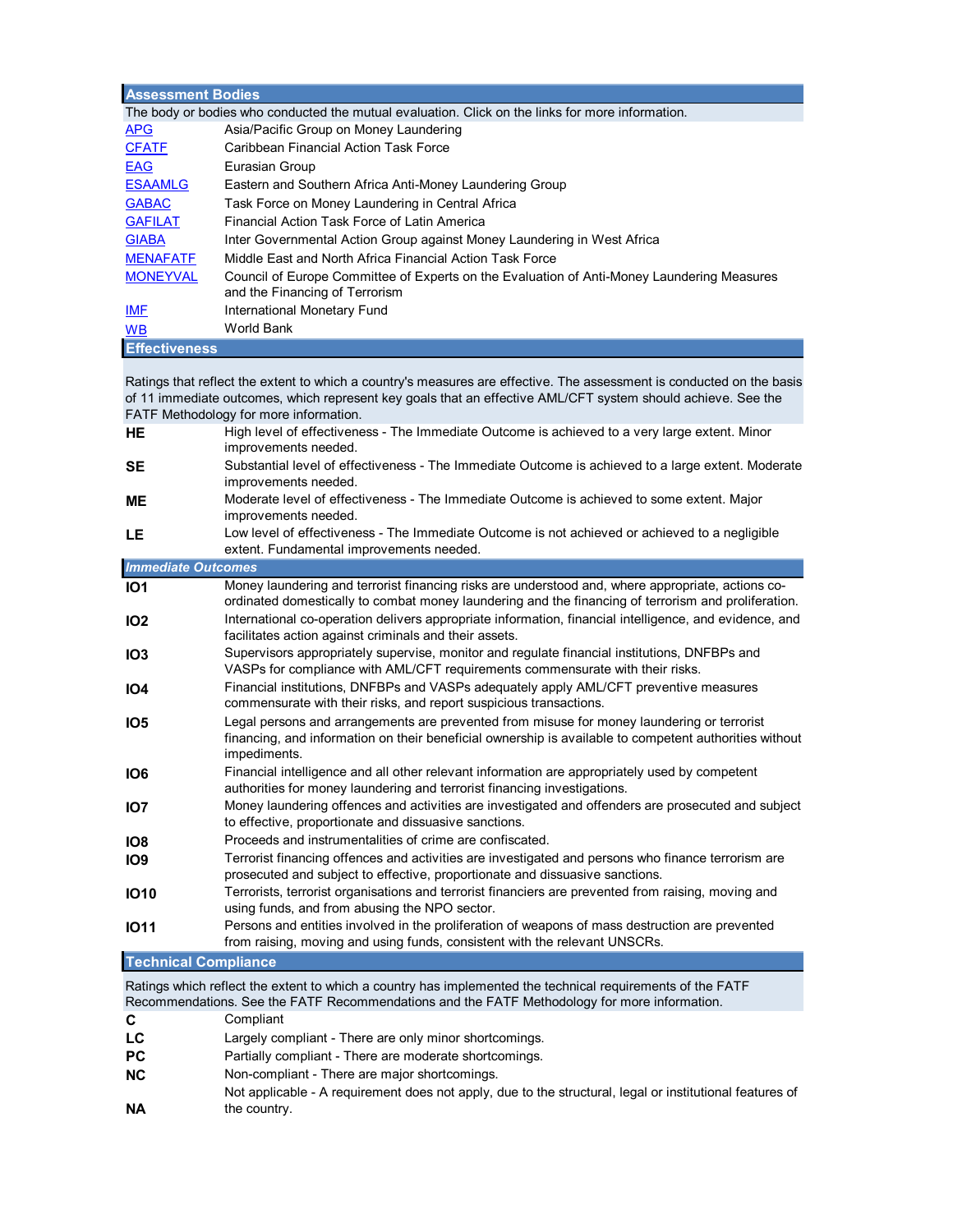| <b>Assessment Bodies</b> |                                                                                                  |  |  |  |  |  |  |  |
|--------------------------|--------------------------------------------------------------------------------------------------|--|--|--|--|--|--|--|
|                          | The body or bodies who conducted the mutual evaluation. Click on the links for more information. |  |  |  |  |  |  |  |
| <b>APG</b>               | Asia/Pacific Group on Money Laundering                                                           |  |  |  |  |  |  |  |
| <b>CFATF</b>             | Caribbean Financial Action Task Force                                                            |  |  |  |  |  |  |  |
| <b>EAG</b>               | Eurasian Group                                                                                   |  |  |  |  |  |  |  |
| <b>ESAAMLG</b>           | Eastern and Southern Africa Anti-Money Laundering Group                                          |  |  |  |  |  |  |  |
| <b>GABAC</b>             | Task Force on Money Laundering in Central Africa                                                 |  |  |  |  |  |  |  |
| <b>GAFILAT</b>           | Financial Action Task Force of Latin America                                                     |  |  |  |  |  |  |  |
| <b>GIABA</b>             | Inter Governmental Action Group against Money Laundering in West Africa                          |  |  |  |  |  |  |  |
| <b>MENAFATF</b>          | Middle Fast and North Africa Financial Action Task Force                                         |  |  |  |  |  |  |  |
| <b>MONEYVAL</b>          | Council of Europe Committee of Experts on the Evaluation of Anti-Money Laundering Measures       |  |  |  |  |  |  |  |
|                          | and the Financing of Terrorism                                                                   |  |  |  |  |  |  |  |
| IMF                      | International Monetary Fund                                                                      |  |  |  |  |  |  |  |
| W <sub>B</sub>           | World Bank                                                                                       |  |  |  |  |  |  |  |
| <b>Effectiveness</b>     |                                                                                                  |  |  |  |  |  |  |  |

Ratings that reflect the extent to which a country's measures are effective. The assessment is conducted on the basis of 11 immediate outcomes, which represent key goals that an effective AML/CFT system should achieve. See the FATF Methodology for more information.

| <b>HE</b>                   | High level of effectiveness - The Immediate Outcome is achieved to a very large extent. Minor<br>improvements needed.                                                                                                |
|-----------------------------|----------------------------------------------------------------------------------------------------------------------------------------------------------------------------------------------------------------------|
| <b>SE</b>                   | Substantial level of effectiveness - The Immediate Outcome is achieved to a large extent. Moderate<br>improvements needed.                                                                                           |
| <b>ME</b>                   | Moderate level of effectiveness - The Immediate Outcome is achieved to some extent. Major<br>improvements needed.                                                                                                    |
| <b>LE</b>                   | Low level of effectiveness - The Immediate Outcome is not achieved or achieved to a negligible<br>extent. Fundamental improvements needed.                                                                           |
| <b>Immediate Outcomes</b>   |                                                                                                                                                                                                                      |
| IO <sub>1</sub>             | Money laundering and terrorist financing risks are understood and, where appropriate, actions co-<br>ordinated domestically to combat money laundering and the financing of terrorism and proliferation.             |
| IO <sub>2</sub>             | International co-operation delivers appropriate information, financial intelligence, and evidence, and<br>facilitates action against criminals and their assets.                                                     |
| IO <sub>3</sub>             | Supervisors appropriately supervise, monitor and regulate financial institutions, DNFBPs and<br>VASPs for compliance with AML/CFT requirements commensurate with their risks.                                        |
| IO <sub>4</sub>             | Financial institutions, DNFBPs and VASPs adequately apply AML/CFT preventive measures<br>commensurate with their risks, and report suspicious transactions.                                                          |
| IO <sub>5</sub>             | Legal persons and arrangements are prevented from misuse for money laundering or terrorist<br>financing, and information on their beneficial ownership is available to competent authorities without<br>impediments. |
| IO <sub>6</sub>             | Financial intelligence and all other relevant information are appropriately used by competent<br>authorities for money laundering and terrorist financing investigations.                                            |
| IO <sub>7</sub>             | Money laundering offences and activities are investigated and offenders are prosecuted and subject<br>to effective, proportionate and dissuasive sanctions.                                                          |
| IO <sub>8</sub>             | Proceeds and instrumentalities of crime are confiscated.                                                                                                                                                             |
| IO <sub>9</sub>             | Terrorist financing offences and activities are investigated and persons who finance terrorism are<br>prosecuted and subject to effective, proportionate and dissuasive sanctions.                                   |
| <b>IO10</b>                 | Terrorists, terrorist organisations and terrorist financiers are prevented from raising, moving and<br>using funds, and from abusing the NPO sector.                                                                 |
| <b>1011</b>                 | Persons and entities involved in the proliferation of weapons of mass destruction are prevented<br>from raising, moving and using funds, consistent with the relevant UNSCRs.                                        |
| <b>Technical Compliance</b> |                                                                                                                                                                                                                      |
|                             | Detinas which reflect the cytent to which a country has implemented the technical requirements of the EATE                                                                                                           |

Ratings which reflect the extent to which a country has implemented the technical requirements of the FATF Recommendations. See the FATF Recommendations and the FATF Methodology for more information.

- **C** Compliant
- **LC** Largely compliant There are only minor shortcomings.
- **PC** Partially compliant There are moderate shortcomings.
- **NC** Non-compliant There are major shortcomings.
- **NA** Not applicable - A requirement does not apply, due to the structural, legal or institutional features of the country.